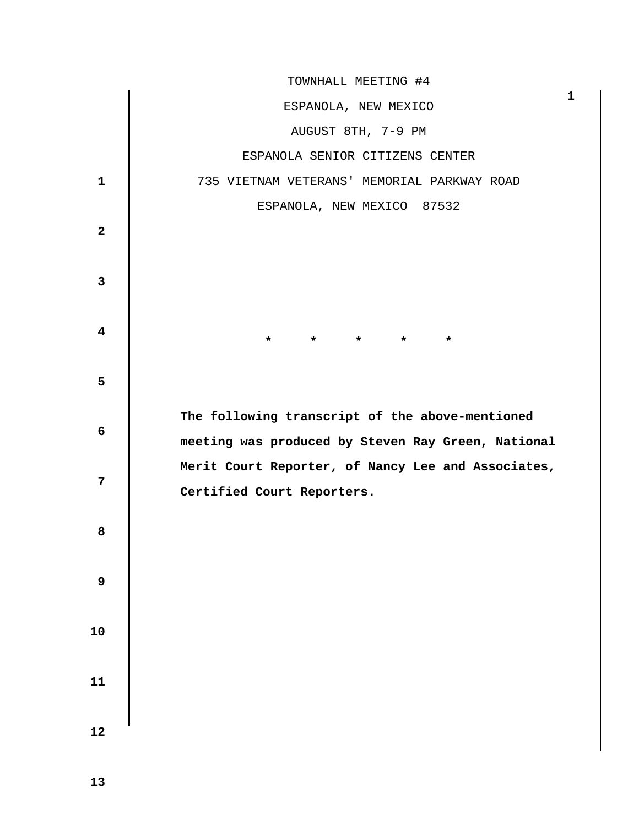|                         | TOWNHALL MEETING #4                                                              |   |
|-------------------------|----------------------------------------------------------------------------------|---|
|                         | ESPANOLA, NEW MEXICO                                                             | 1 |
|                         | AUGUST 8TH, 7-9 PM                                                               |   |
|                         | ESPANOLA SENIOR CITIZENS CENTER                                                  |   |
| $\mathbf{1}$            | 735 VIETNAM VETERANS' MEMORIAL PARKWAY ROAD                                      |   |
|                         | ESPANOLA, NEW MEXICO 87532                                                       |   |
| $\overline{a}$          |                                                                                  |   |
| $\mathbf{3}$            |                                                                                  |   |
| $\overline{\mathbf{4}}$ | $\star$<br>$\star$<br>$\star$<br>*                                               |   |
| 5                       |                                                                                  |   |
| 6                       | The following transcript of the above-mentioned                                  |   |
|                         | meeting was produced by Steven Ray Green, National                               |   |
| 7                       | Merit Court Reporter, of Nancy Lee and Associates,<br>Certified Court Reporters. |   |
|                         |                                                                                  |   |
| 8                       |                                                                                  |   |
|                         |                                                                                  |   |
| 9                       |                                                                                  |   |
|                         |                                                                                  |   |
| 10                      |                                                                                  |   |
| ${\bf 11}$              |                                                                                  |   |
|                         |                                                                                  |   |
| 12                      |                                                                                  |   |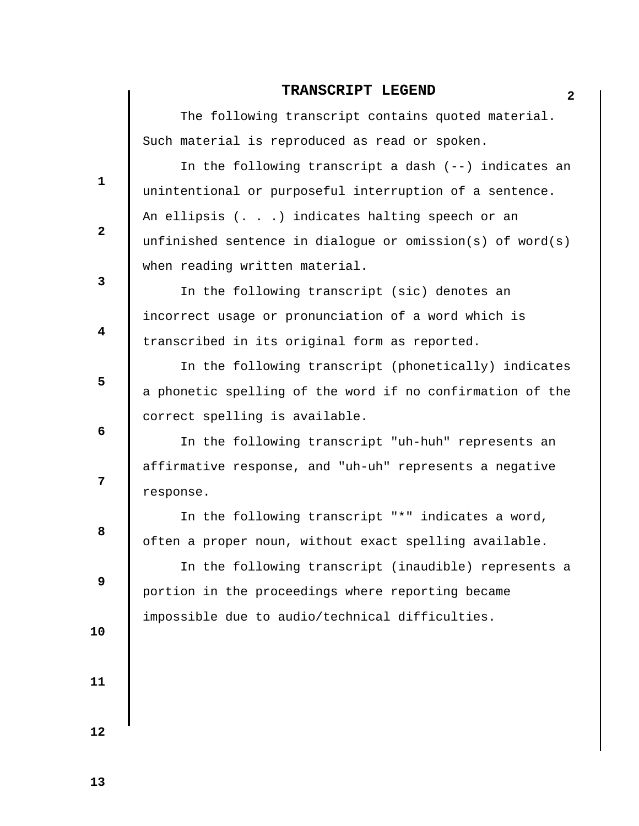## **2 TRANSCRIPT LEGEND**

 The following transcript contains quoted material. Such material is reproduced as read or spoken.

 In the following transcript a dash (--) indicates an unintentional or purposeful interruption of a sentence. An ellipsis (. . .) indicates halting speech or an unfinished sentence in dialogue or omission(s) of word(s) when reading written material.

 In the following transcript (sic) denotes an incorrect usage or pronunciation of a word which is transcribed in its original form as reported.

 In the following transcript (phonetically) indicates a phonetic spelling of the word if no confirmation of the correct spelling is available.

 In the following transcript "uh-huh" represents an affirmative response, and "uh-uh" represents a negative response.

 In the following transcript "\*" indicates a word, often a proper noun, without exact spelling available.

 In the following transcript (inaudible) represents a portion in the proceedings where reporting became impossible due to audio/technical difficulties.

 **10** 

 **1** 

**2** 

**3** 

 **4** 

 **6** 

**12** 

**8 8** 

 **9** 

 **5** 

 **11**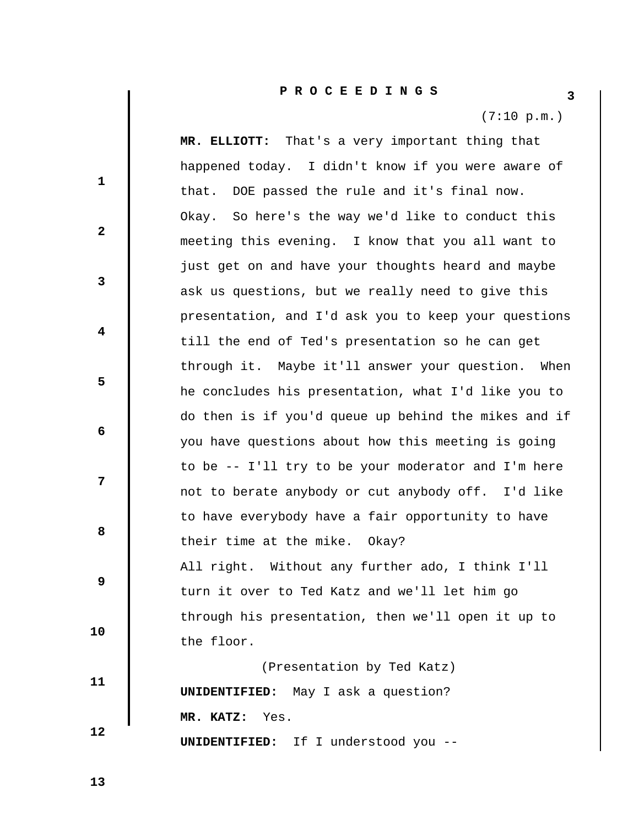(7:10 p.m.)

 **1 2 3 4 5 6 7 8 8 9 10 11 12 MR. ELLIOTT:** That's a very important thing that happened today. I didn't know if you were aware of that. DOE passed the rule and it's final now. Okay. So here's the way we'd like to conduct this meeting this evening. I know that you all want to just get on and have your thoughts heard and maybe ask us questions, but we really need to give this presentation, and I'd ask you to keep your questions till the end of Ted's presentation so he can get through it. Maybe it'll answer your question. When he concludes his presentation, what I'd like you to do then is if you'd queue up behind the mikes and if you have questions about how this meeting is going to be -- I'll try to be your moderator and I'm here not to berate anybody or cut anybody off. I'd like to have everybody have a fair opportunity to have their time at the mike. Okay? All right. Without any further ado, I think I'll turn it over to Ted Katz and we'll let him go through his presentation, then we'll open it up to the floor. (Presentation by Ted Katz)  **UNIDENTIFIED:** May I ask a question?  **MR. KATZ:** Yes.  **UNIDENTIFIED:** If I understood you --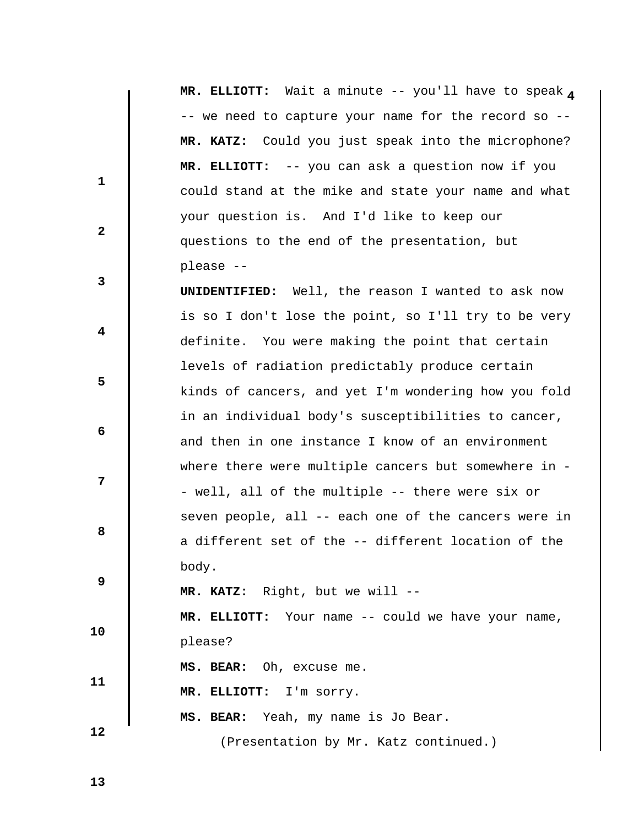MR. ELLIOTT: Wait a minute -- you'll have to speak a -- we need to capture your name for the record so --  **MR. KATZ:** Could you just speak into the microphone?  **MR. ELLIOTT:** -- you can ask a question now if you could stand at the mike and state your name and what your question is. And I'd like to keep our questions to the end of the presentation, but please --

 **UNIDENTIFIED:** Well, the reason I wanted to ask now is so I don't lose the point, so I'll try to be very definite. You were making the point that certain levels of radiation predictably produce certain kinds of cancers, and yet I'm wondering how you fold in an individual body's susceptibilities to cancer, and then in one instance I know of an environment where there were multiple cancers but somewhere in -- well, all of the multiple -- there were six or seven people, all -- each one of the cancers were in a different set of the -- different location of the body.

 **MR. KATZ:** Right, but we will --

 **MR. ELLIOTT:** Your name -- could we have your name, please?

 **MS. BEAR:** Oh, excuse me.

 **MR. ELLIOTT:** I'm sorry.

 **MS. BEAR:** Yeah, my name is Jo Bear.

(Presentation by Mr. Katz continued.)

 **13** 

 **10** 

 **11** 

 **12** 

 **1** 

**2** 

**3** 

 **4** 

 **6** 

**8 8** 

 **9** 

 **5**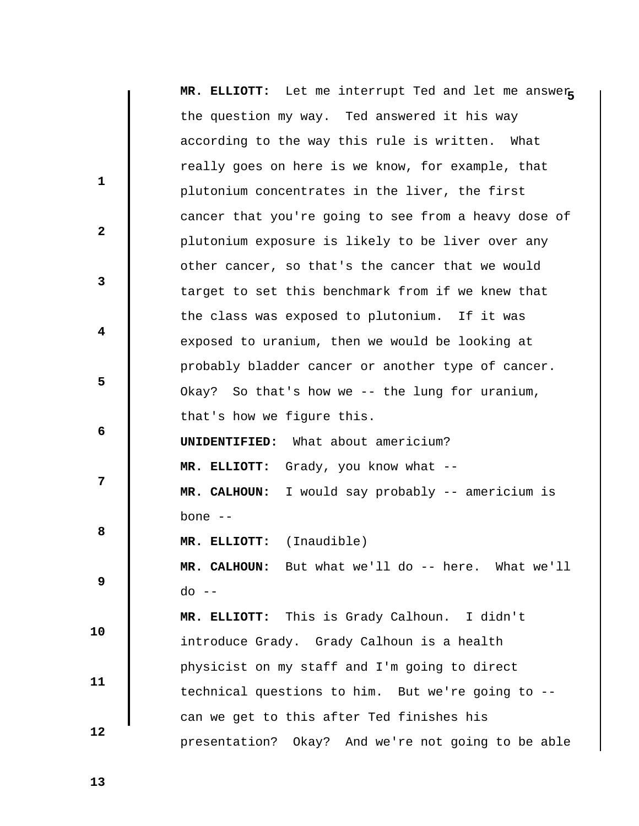|              | MR. ELLIOTT: Let me interrupt Ted and let me answer  |
|--------------|------------------------------------------------------|
|              | the question my way. Ted answered it his way         |
|              | according to the way this rule is written. What      |
| $\mathbf{1}$ | really goes on here is we know, for example, that    |
|              | plutonium concentrates in the liver, the first       |
| $\mathbf{2}$ | cancer that you're going to see from a heavy dose of |
|              | plutonium exposure is likely to be liver over any    |
|              | other cancer, so that's the cancer that we would     |
| 3            | target to set this benchmark from if we knew that    |
|              | the class was exposed to plutonium. If it was        |
| 4            | exposed to uranium, then we would be looking at      |
|              | probably bladder cancer or another type of cancer.   |
| 5            | Okay? So that's how we -- the lung for uranium,      |
|              | that's how we figure this.                           |
| 6            | <b>UNIDENTIFIED:</b> What about americium?           |
|              | MR. ELLIOTT: Grady, you know what --                 |
| 7            | MR. CALHOUN: I would say probably -- americium is    |
|              | bone $--$                                            |
| 8            | MR. ELLIOTT: (Inaudible)                             |
|              | MR. CALHOUN: But what we'll do -- here. What we'll   |
| 9            | $do --$                                              |
|              | MR. ELLIOTT: This is Grady Calhoun. I didn't         |
| 10           | introduce Grady. Grady Calhoun is a health           |
|              | physicist on my staff and I'm going to direct        |
| 11           | technical questions to him. But we're going to --    |
|              | can we get to this after Ted finishes his            |
| 12           | presentation? Okay? And we're not going to be able   |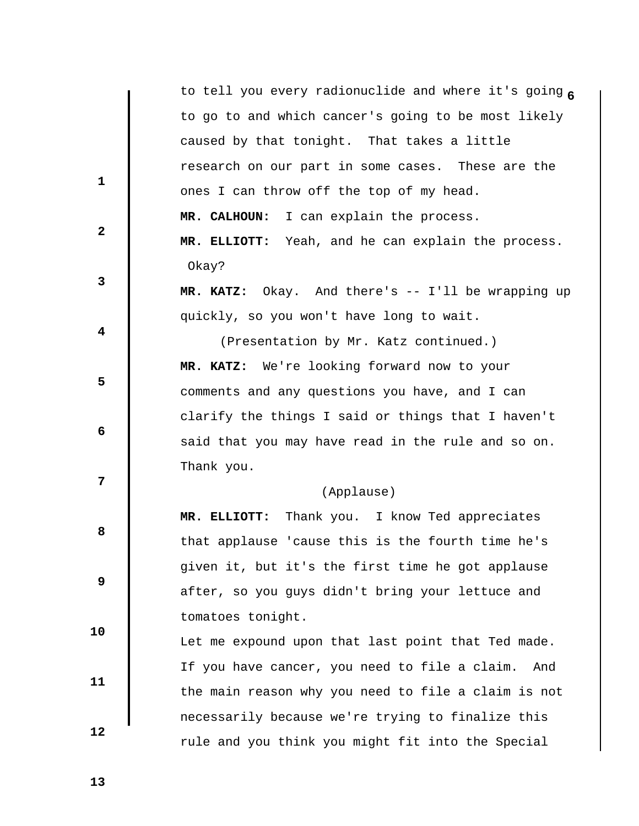| to tell you every radionuclide and where it's going 6              |     |
|--------------------------------------------------------------------|-----|
| to go to and which cancer's going to be most likely                |     |
| caused by that tonight. That takes a little                        |     |
| research on our part in some cases. These are the                  |     |
| $\mathbf{1}$<br>ones I can throw off the top of my head.           |     |
| MR. CALHOUN: I can explain the process.                            |     |
| $\mathbf{2}$<br>MR. ELLIOTT: Yeah, and he can explain the process. |     |
| Okay?                                                              |     |
| 3<br>MR. KATZ: Okay. And there's -- I'll be wrapping up            |     |
| quickly, so you won't have long to wait.                           |     |
| 4<br>(Presentation by Mr. Katz continued.)                         |     |
| MR. KATZ: We're looking forward now to your                        |     |
| 5<br>comments and any questions you have, and I can                |     |
| clarify the things I said or things that I haven't                 |     |
| 6<br>said that you may have read in the rule and so on.            |     |
| Thank you.                                                         |     |
| $\overline{7}$<br>(Applause)                                       |     |
| MR. ELLIOTT: Thank you. I know Ted appreciates                     |     |
| 8<br>that applause 'cause this is the fourth time he's             |     |
| given it, but it's the first time he got applause                  |     |
| 9<br>after, so you guys didn't bring your lettuce and              |     |
| tomatoes tonight.                                                  |     |
| 10<br>Let me expound upon that last point that Ted made.           |     |
| If you have cancer, you need to file a claim.                      | And |
| 11<br>the main reason why you need to file a claim is not          |     |
| necessarily because we're trying to finalize this                  |     |
| 12                                                                 |     |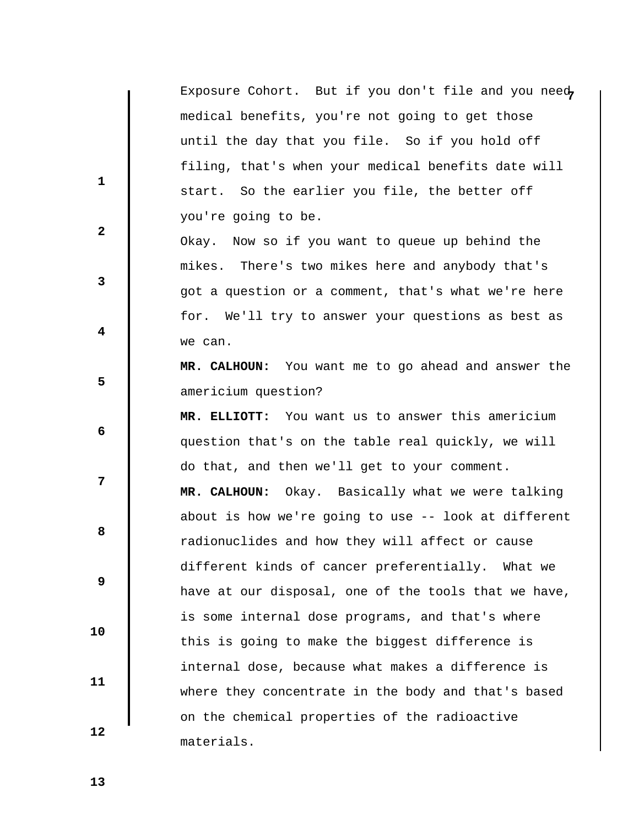Exposure Cohort. But if you don't file and you need, medical benefits, you're not going to get those until the day that you file. So if you hold off filing, that's when your medical benefits date will start. So the earlier you file, the better off you're going to be.

 Okay. Now so if you want to queue up behind the mikes. There's two mikes here and anybody that's got a question or a comment, that's what we're here for. We'll try to answer your questions as best as we can.

 **MR. CALHOUN:** You want me to go ahead and answer the americium question?

 **MR. ELLIOTT:** You want us to answer this americium question that's on the table real quickly, we will do that, and then we'll get to your comment.  **MR. CALHOUN:** Okay. Basically what we were talking about is how we're going to use -- look at different radionuclides and how they will affect or cause different kinds of cancer preferentially. What we have at our disposal, one of the tools that we have, is some internal dose programs, and that's where this is going to make the biggest difference is internal dose, because what makes a difference is where they concentrate in the body and that's based on the chemical properties of the radioactive materials.

 **13** 

 **10** 

 **11** 

 **12** 

 **1** 

 **2** 

 **3** 

 **5** 

 **4** 

 **6** 

**12** 

**8 8**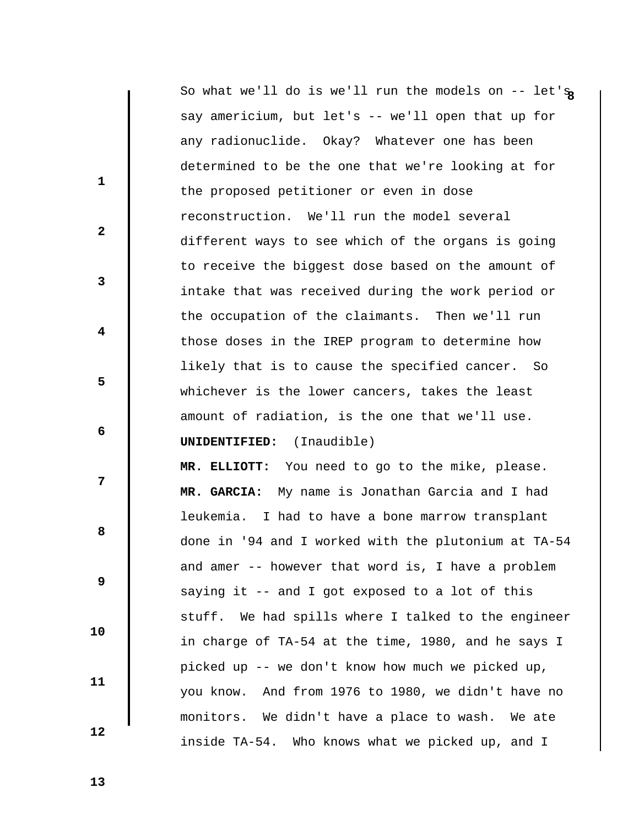**1 2 3 4 5 6 7 8 8 9 10 11 12 8** So what we'll do is we'll run the models on -- let's say americium, but let's -- we'll open that up for any radionuclide. Okay? Whatever one has been determined to be the one that we're looking at for the proposed petitioner or even in dose reconstruction. We'll run the model several different ways to see which of the organs is going to receive the biggest dose based on the amount of intake that was received during the work period or the occupation of the claimants. Then we'll run those doses in the IREP program to determine how likely that is to cause the specified cancer. So whichever is the lower cancers, takes the least amount of radiation, is the one that we'll use.  **UNIDENTIFIED:** (Inaudible)  **MR. ELLIOTT:** You need to go to the mike, please.  **MR. GARCIA:** My name is Jonathan Garcia and I had leukemia. I had to have a bone marrow transplant done in '94 and I worked with the plutonium at TA-54 and amer -- however that word is, I have a problem saying it -- and I got exposed to a lot of this stuff. We had spills where I talked to the engineer in charge of TA-54 at the time, 1980, and he says I picked up -- we don't know how much we picked up, you know. And from 1976 to 1980, we didn't have no monitors. We didn't have a place to wash. We ate inside TA-54. Who knows what we picked up, and I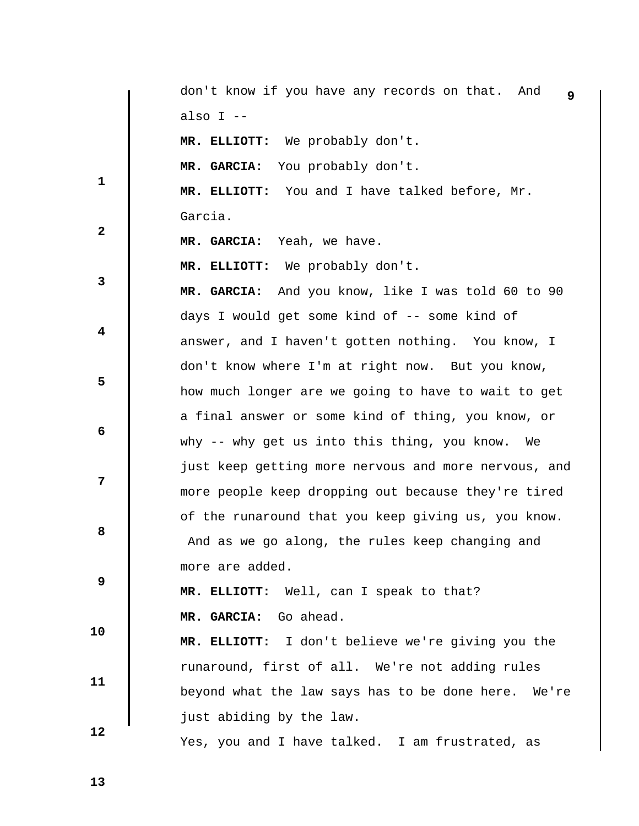|              | don't know if you have any records on that. And<br>9 |
|--------------|------------------------------------------------------|
|              | also I --                                            |
|              | MR. ELLIOTT: We probably don't.                      |
|              | MR. GARCIA: You probably don't.                      |
| $\mathbf 1$  | MR. ELLIOTT: You and I have talked before, Mr.       |
|              | Garcia.                                              |
| $\mathbf{2}$ | MR. GARCIA: Yeah, we have.                           |
|              | MR. ELLIOTT: We probably don't.                      |
| 3            | MR. GARCIA: And you know, like I was told 60 to 90   |
|              | days I would get some kind of -- some kind of        |
| 4            | answer, and I haven't gotten nothing. You know, I    |
|              | don't know where I'm at right now. But you know,     |
| 5            | how much longer are we going to have to wait to get  |
|              | a final answer or some kind of thing, you know, or   |
| 6            | why -- why get us into this thing, you know.<br>We   |
|              | just keep getting more nervous and more nervous, and |
| 7            | more people keep dropping out because they're tired  |
|              | of the runaround that you keep giving us, you know.  |
| 8            | And as we go along, the rules keep changing and      |
|              | more are added.                                      |
| 9            | MR. ELLIOTT: Well, can I speak to that?              |
|              | MR. GARCIA: Go ahead.                                |
| 10           | MR. ELLIOTT: I don't believe we're giving you the    |
|              | runaround, first of all. We're not adding rules      |
| 11           | beyond what the law says has to be done here. We're  |
|              | just abiding by the law.                             |
| 12           | Yes, you and I have talked. I am frustrated, as      |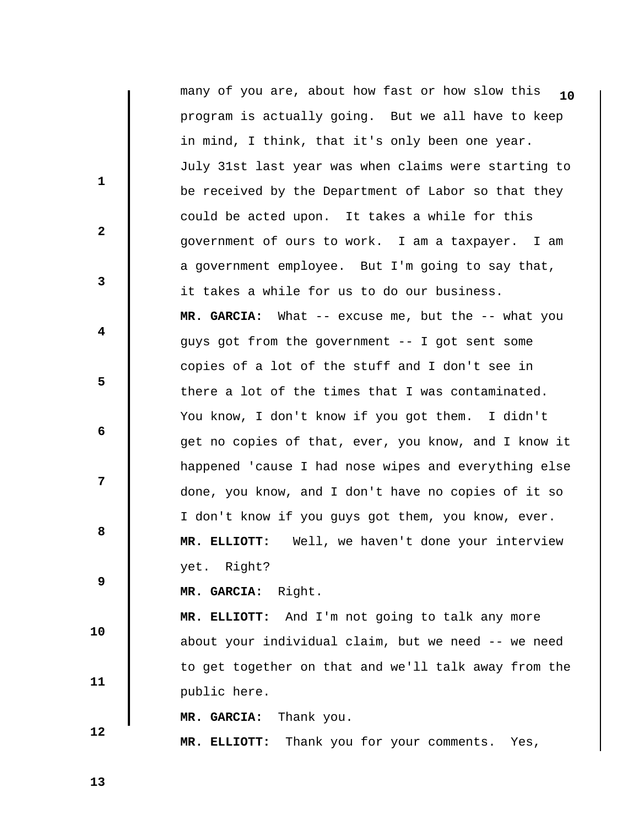|              | many of you are, about how fast or how slow this<br>10 |
|--------------|--------------------------------------------------------|
|              | program is actually going. But we all have to keep     |
|              | in mind, I think, that it's only been one year.        |
|              | July 31st last year was when claims were starting to   |
| $\mathbf{1}$ | be received by the Department of Labor so that they    |
|              | could be acted upon. It takes a while for this         |
| $\mathbf{2}$ | government of ours to work. I am a taxpayer. I am      |
|              | a government employee. But I'm going to say that,      |
| 3            | it takes a while for us to do our business.            |
|              | MR. GARCIA: What -- excuse me, but the -- what you     |
| 4            | guys got from the government -- I got sent some        |
|              | copies of a lot of the stuff and I don't see in        |
| 5            | there a lot of the times that I was contaminated.      |
|              | You know, I don't know if you got them. I didn't       |
| 6            | get no copies of that, ever, you know, and I know it   |
|              | happened 'cause I had nose wipes and everything else   |
| 7            | done, you know, and I don't have no copies of it so    |
|              | I don't know if you guys got them, you know, ever.     |
| 8            | Well, we haven't done your interview<br>MR. ELLIOTT:   |
|              | yet. Right?                                            |
| 9            | MR. GARCIA: Right.                                     |
|              | MR. ELLIOTT: And I'm not going to talk any more        |
| 10           | about your individual claim, but we need -- we need    |
|              | to get together on that and we'll talk away from the   |
| 11           | public here.                                           |
|              | MR. GARCIA:<br>Thank you.                              |
| 12           | Thank you for your comments. Yes,<br>MR. ELLIOTT:      |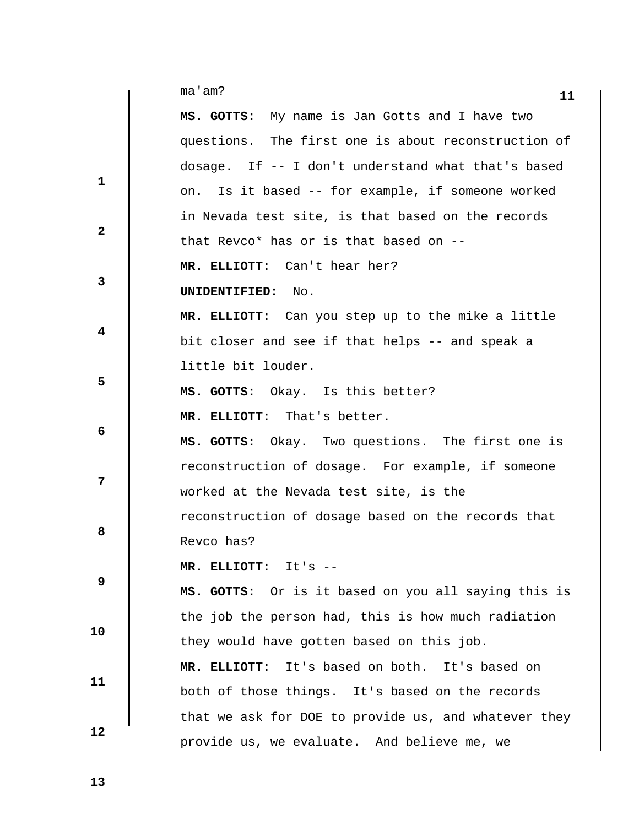|              | ma'am?                                               | 11 |
|--------------|------------------------------------------------------|----|
|              | MS. GOTTS: My name is Jan Gotts and I have two       |    |
|              | questions. The first one is about reconstruction of  |    |
|              | dosage. If -- I don't understand what that's based   |    |
| $\mathbf{1}$ | Is it based -- for example, if someone worked<br>on. |    |
|              | in Nevada test site, is that based on the records    |    |
| $\mathbf{2}$ | that Revco* has or is that based on --               |    |
|              | MR. ELLIOTT: Can't hear her?                         |    |
| 3            | UNIDENTIFIED:<br>No.                                 |    |
|              | MR. ELLIOTT: Can you step up to the mike a little    |    |
| 4            | bit closer and see if that helps -- and speak a      |    |
|              | little bit louder.                                   |    |
| 5            | MS. GOTTS: Okay. Is this better?                     |    |
|              | MR. ELLIOTT: That's better.                          |    |
| 6            | MS. GOTTS: Okay. Two questions. The first one is     |    |
|              | reconstruction of dosage. For example, if someone    |    |
| 7            | worked at the Nevada test site, is the               |    |
|              | reconstruction of dosage based on the records that   |    |
| 8            | Revco has?                                           |    |
|              | MR. ELLIOTT: It's --                                 |    |
| 9            | MS. GOTTS: Or is it based on you all saying this is  |    |
|              | the job the person had, this is how much radiation   |    |
| 10           | they would have gotten based on this job.            |    |
|              | MR. ELLIOTT: It's based on both. It's based on       |    |
| 11           | both of those things. It's based on the records      |    |
|              | that we ask for DOE to provide us, and whatever they |    |
| 12           | provide us, we evaluate. And believe me, we          |    |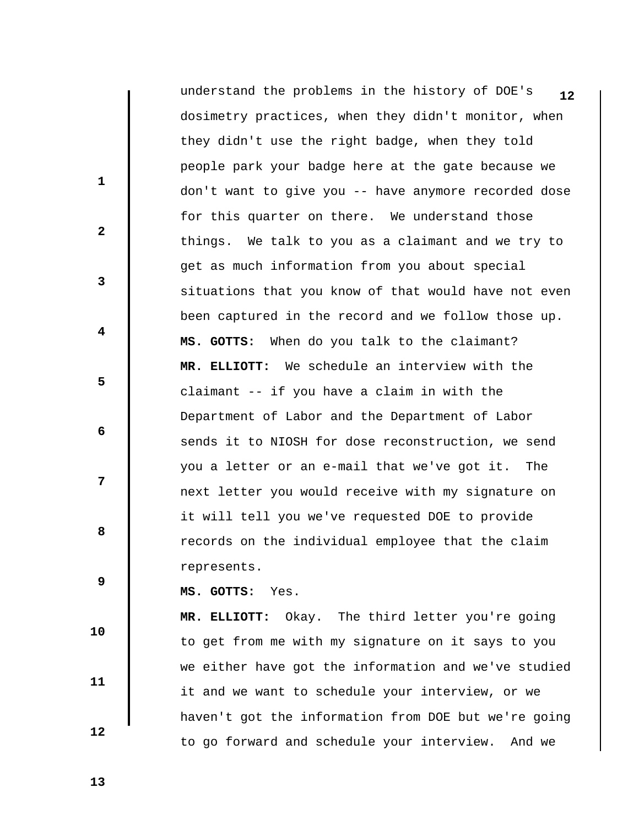**12** understand the problems in the history of DOE's dosimetry practices, when they didn't monitor, when they didn't use the right badge, when they told people park your badge here at the gate because we don't want to give you -- have anymore recorded dose for this quarter on there. We understand those things. We talk to you as a claimant and we try to get as much information from you about special situations that you know of that would have not even been captured in the record and we follow those up.  **MS. GOTTS:** When do you talk to the claimant?  **MR. ELLIOTT:** We schedule an interview with the claimant -- if you have a claim in with the Department of Labor and the Department of Labor sends it to NIOSH for dose reconstruction, we send you a letter or an e-mail that we've got it. The next letter you would receive with my signature on it will tell you we've requested DOE to provide records on the individual employee that the claim represents.

 **10** 

 **11** 

 **12** 

 **1** 

 **3** 

 **5** 

 **7** 

**2** 

 **4** 

 **6** 

**8 8** 

 **9** 

 **MS. GOTTS:** Yes.

 **MR. ELLIOTT:** Okay. The third letter you're going to get from me with my signature on it says to you we either have got the information and we've studied it and we want to schedule your interview, or we haven't got the information from DOE but we're going to go forward and schedule your interview. And we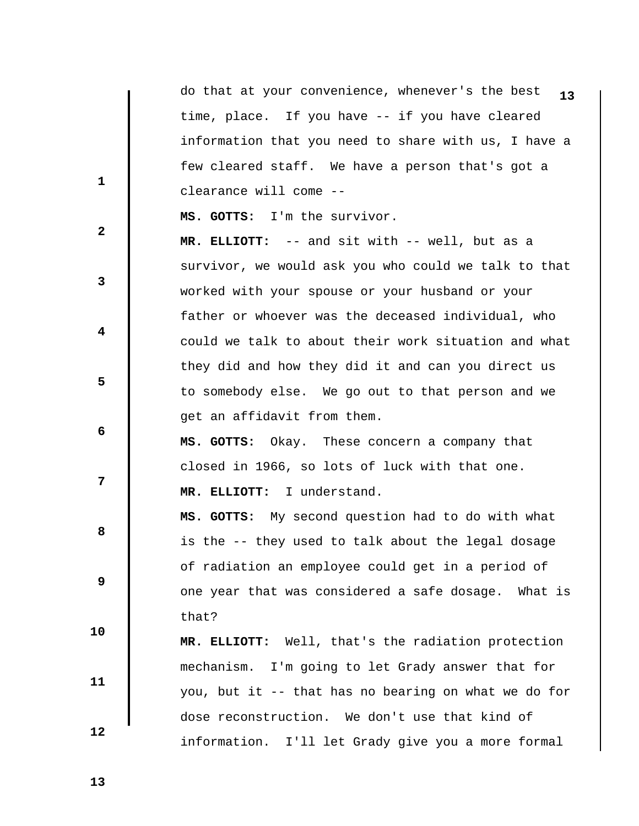**1 2 3 4 5 6 7 8 8 9 10 11 12 13** do that at your convenience, whenever's the best time, place. If you have -- if you have cleared information that you need to share with us, I have a few cleared staff. We have a person that's got a clearance will come --  **MS. GOTTS:** I'm the survivor.  **MR. ELLIOTT:** -- and sit with -- well, but as a survivor, we would ask you who could we talk to that worked with your spouse or your husband or your father or whoever was the deceased individual, who could we talk to about their work situation and what they did and how they did it and can you direct us to somebody else. We go out to that person and we get an affidavit from them.  **MS. GOTTS:** Okay. These concern a company that closed in 1966, so lots of luck with that one.  **MR. ELLIOTT:** I understand.  **MS. GOTTS:** My second question had to do with what is the -- they used to talk about the legal dosage of radiation an employee could get in a period of one year that was considered a safe dosage. What is that?  **MR. ELLIOTT:** Well, that's the radiation protection mechanism. I'm going to let Grady answer that for you, but it -- that has no bearing on what we do for dose reconstruction. We don't use that kind of information. I'll let Grady give you a more formal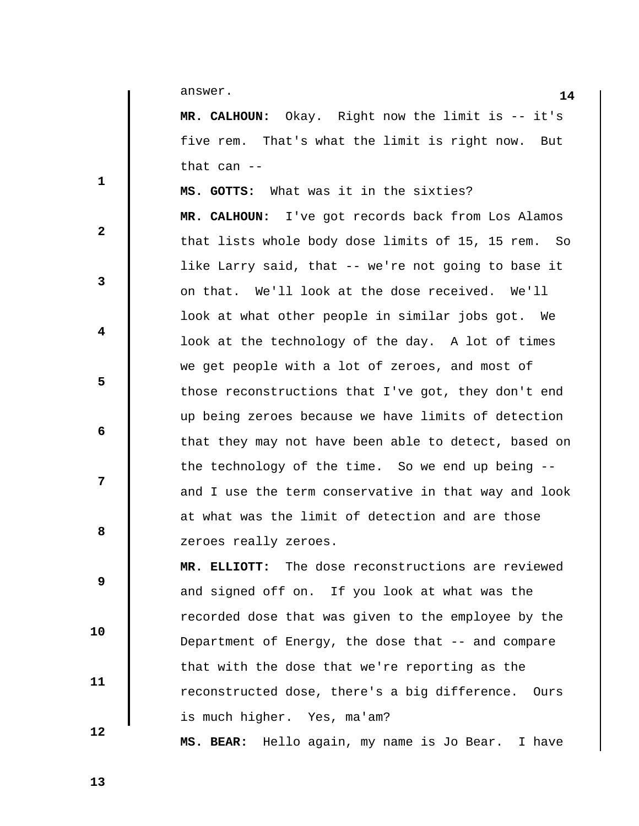**14** answer.

 **MR. CALHOUN:** Okay. Right now the limit is -- it's five rem. That's what the limit is right now. But that can --

 **MS. GOTTS:** What was it in the sixties?  **MR. CALHOUN:** I've got records back from Los Alamos that lists whole body dose limits of 15, 15 rem. So like Larry said, that -- we're not going to base it on that. We'll look at the dose received. We'll look at what other people in similar jobs got. We look at the technology of the day. A lot of times we get people with a lot of zeroes, and most of those reconstructions that I've got, they don't end up being zeroes because we have limits of detection that they may not have been able to detect, based on the technology of the time. So we end up being - and I use the term conservative in that way and look at what was the limit of detection and are those zeroes really zeroes.

 **MR. ELLIOTT:** The dose reconstructions are reviewed and signed off on. If you look at what was the recorded dose that was given to the employee by the Department of Energy, the dose that -- and compare that with the dose that we're reporting as the reconstructed dose, there's a big difference. Ours is much higher. Yes, ma'am?

 **MS. BEAR:** Hello again, my name is Jo Bear. I have

**8 8** 

 **9** 

 **1** 

 **3** 

 **5** 

 **7** 

**2** 

 **4** 

 **6** 

 **11** 

 **12**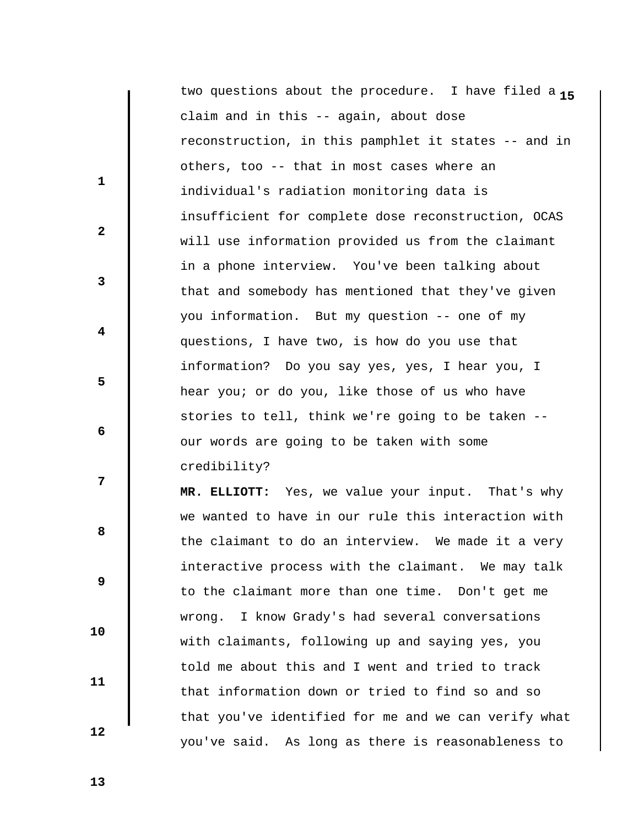two questions about the procedure. I have filed a 15 claim and in this -- again, about dose reconstruction, in this pamphlet it states -- and in others, too -- that in most cases where an individual's radiation monitoring data is insufficient for complete dose reconstruction, OCAS will use information provided us from the claimant in a phone interview. You've been talking about that and somebody has mentioned that they've given you information. But my question -- one of my questions, I have two, is how do you use that information? Do you say yes, yes, I hear you, I hear you; or do you, like those of us who have stories to tell, think we're going to be taken - our words are going to be taken with some credibility?  **MR. ELLIOTT:** Yes, we value your input. That's why we wanted to have in our rule this interaction with the claimant to do an interview. We made it a very

interactive process with the claimant. We may talk to the claimant more than one time. Don't get me wrong. I know Grady's had several conversations with claimants, following up and saying yes, you told me about this and I went and tried to track that information down or tried to find so and so that you've identified for me and we can verify what you've said. As long as there is reasonableness to

 **13** 

 **10** 

 **11** 

 **12** 

 **1** 

**2** 

**3** 

 **4** 

 **6** 

**12** 

**8 8** 

 **9**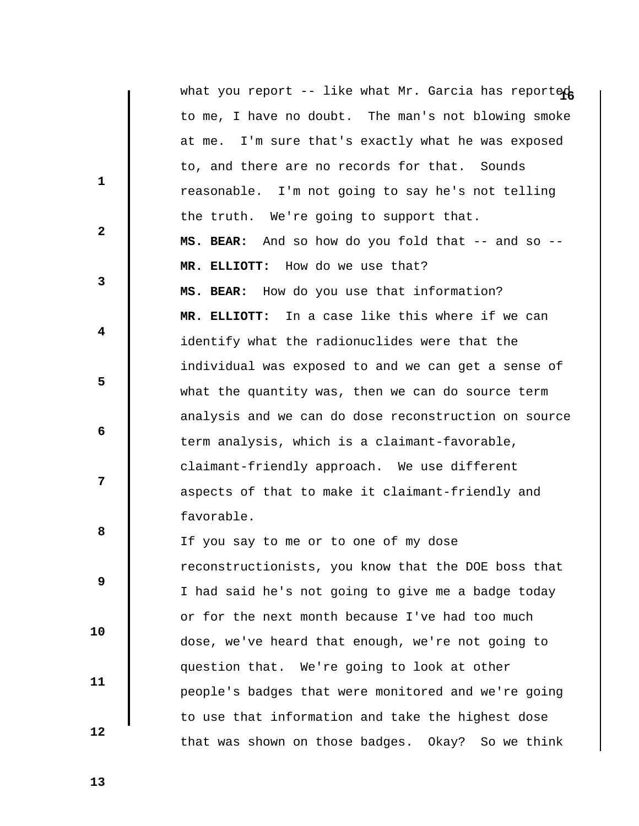|                         | what you report -- like what Mr. Garcia has reported |
|-------------------------|------------------------------------------------------|
|                         | to me, I have no doubt. The man's not blowing smoke  |
|                         | at me. I'm sure that's exactly what he was exposed   |
| $\mathbf{1}$            | to, and there are no records for that. Sounds        |
|                         | reasonable. I'm not going to say he's not telling    |
| $\overline{2}$          | the truth. We're going to support that.              |
|                         | MS. BEAR: And so how do you fold that -- and so --   |
|                         | MR. ELLIOTT: How do we use that?                     |
| $\mathbf{3}$            | MS. BEAR: How do you use that information?           |
|                         | MR. ELLIOTT: In a case like this where if we can     |
| $\overline{\mathbf{4}}$ | identify what the radionuclides were that the        |
|                         | individual was exposed to and we can get a sense of  |
| 5                       | what the quantity was, then we can do source term    |
|                         | analysis and we can do dose reconstruction on source |
| $\boldsymbol{6}$        | term analysis, which is a claimant-favorable,        |
|                         | claimant-friendly approach. We use different         |
| 7                       | aspects of that to make it claimant-friendly and     |
|                         | favorable.                                           |
| 8                       | If you say to me or to one of my dose                |
|                         | reconstructionists, you know that the DOE boss that  |
| $\boldsymbol{9}$        | I had said he's not going to give me a badge today   |
|                         | or for the next month because I've had too much      |
| 10                      | dose, we've heard that enough, we're not going to    |
|                         | question that. We're going to look at other          |
| 11                      | people's badges that were monitored and we're going  |
|                         | to use that information and take the highest dose    |
| 12                      | that was shown on those badges. Okay? So we think    |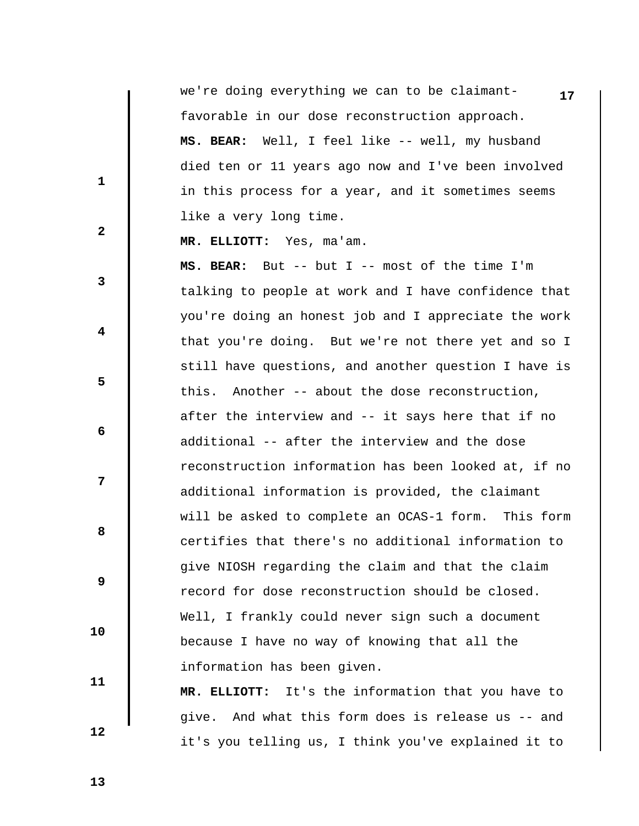**17** we're doing everything we can to be claimantfavorable in our dose reconstruction approach.  **MS. BEAR:** Well, I feel like -- well, my husband died ten or 11 years ago now and I've been involved in this process for a year, and it sometimes seems like a very long time.

 **MR. ELLIOTT:** Yes, ma'am.

 **MS. BEAR:** But -- but I -- most of the time I'm talking to people at work and I have confidence that you're doing an honest job and I appreciate the work that you're doing. But we're not there yet and so I still have questions, and another question I have is this. Another -- about the dose reconstruction, after the interview and -- it says here that if no additional -- after the interview and the dose reconstruction information has been looked at, if no additional information is provided, the claimant will be asked to complete an OCAS-1 form. This form certifies that there's no additional information to give NIOSH regarding the claim and that the claim record for dose reconstruction should be closed. Well, I frankly could never sign such a document because I have no way of knowing that all the information has been given.

 **MR. ELLIOTT:** It's the information that you have to give. And what this form does is release us -- and it's you telling us, I think you've explained it to

 **13** 

 **10** 

 **11** 

 **12** 

 **1** 

 **2** 

 **3** 

 **5** 

 **7** 

 **4** 

 **6** 

**8 8**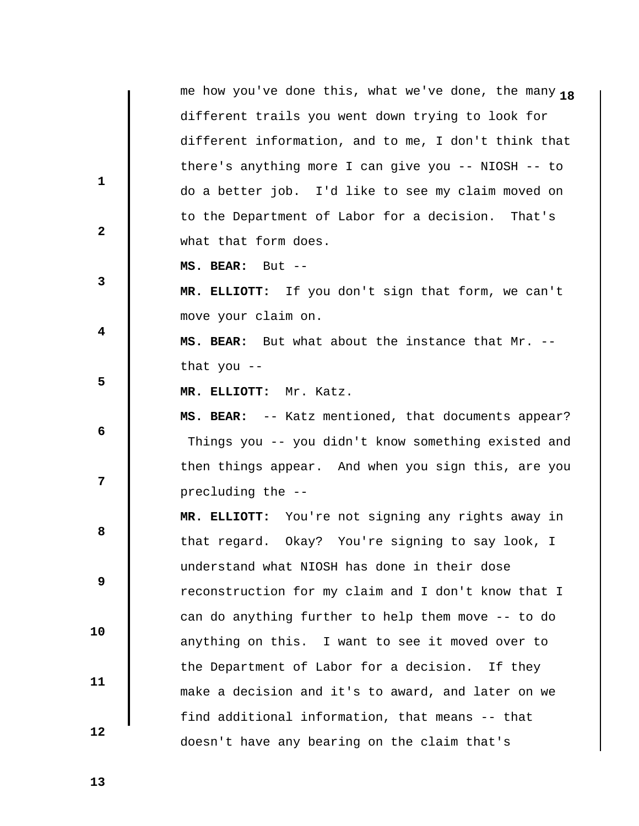**1 2 3 4 5 6 7 8 8 9 10 11 12**  me how you've done this, what we've done, the many 18 different trails you went down trying to look for different information, and to me, I don't think that there's anything more I can give you -- NIOSH -- to do a better job. I'd like to see my claim moved on to the Department of Labor for a decision. That's what that form does.  **MS. BEAR:** But --  **MR. ELLIOTT:** If you don't sign that form, we can't move your claim on.  **MS. BEAR:** But what about the instance that Mr. - that you --  **MR. ELLIOTT:** Mr. Katz.  **MS. BEAR:** -- Katz mentioned, that documents appear? Things you -- you didn't know something existed and then things appear. And when you sign this, are you precluding the --  **MR. ELLIOTT:** You're not signing any rights away in that regard. Okay? You're signing to say look, I understand what NIOSH has done in their dose reconstruction for my claim and I don't know that I can do anything further to help them move -- to do anything on this. I want to see it moved over to the Department of Labor for a decision. If they make a decision and it's to award, and later on we find additional information, that means -- that doesn't have any bearing on the claim that's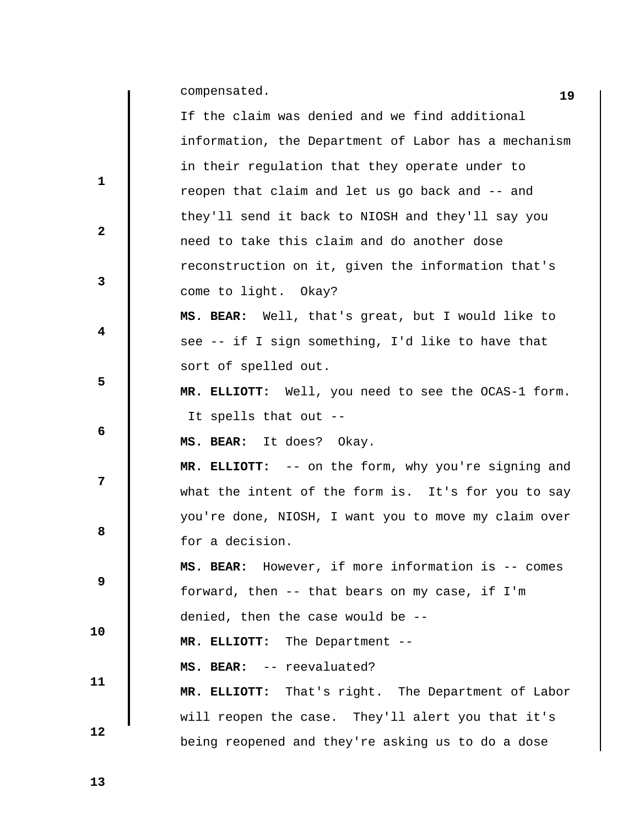**19** compensated.

 $\mathbf{I}$ 

|              | If the claim was denied and we find additional       |
|--------------|------------------------------------------------------|
|              | information, the Department of Labor has a mechanism |
| 1            | in their regulation that they operate under to       |
|              | reopen that claim and let us go back and -- and      |
|              | they'll send it back to NIOSH and they'll say you    |
| $\mathbf{2}$ | need to take this claim and do another dose          |
|              | reconstruction on it, given the information that's   |
| 3            | come to light. Okay?                                 |
|              | MS. BEAR: Well, that's great, but I would like to    |
| 4            | see -- if I sign something, I'd like to have that    |
|              | sort of spelled out.                                 |
| 5            | MR. ELLIOTT: Well, you need to see the OCAS-1 form.  |
|              | It spells that out --                                |
| 6            | MS. BEAR: It does? Okay.                             |
|              |                                                      |
|              | MR. ELLIOTT: -- on the form, why you're signing and  |
| 7            | what the intent of the form is. It's for you to say  |
|              | you're done, NIOSH, I want you to move my claim over |
| 8            | for a decision.                                      |
|              | MS. BEAR: However, if more information is -- comes   |
| 9            | forward, then -- that bears on my case, if I'm       |
|              | denied, then the case would be --                    |
| 10           | MR. ELLIOTT: The Department --                       |
|              | MS. BEAR: -- reevaluated?                            |
| 11           | MR. ELLIOTT: That's right. The Department of Labor   |
| 12           | will reopen the case. They'll alert you that it's    |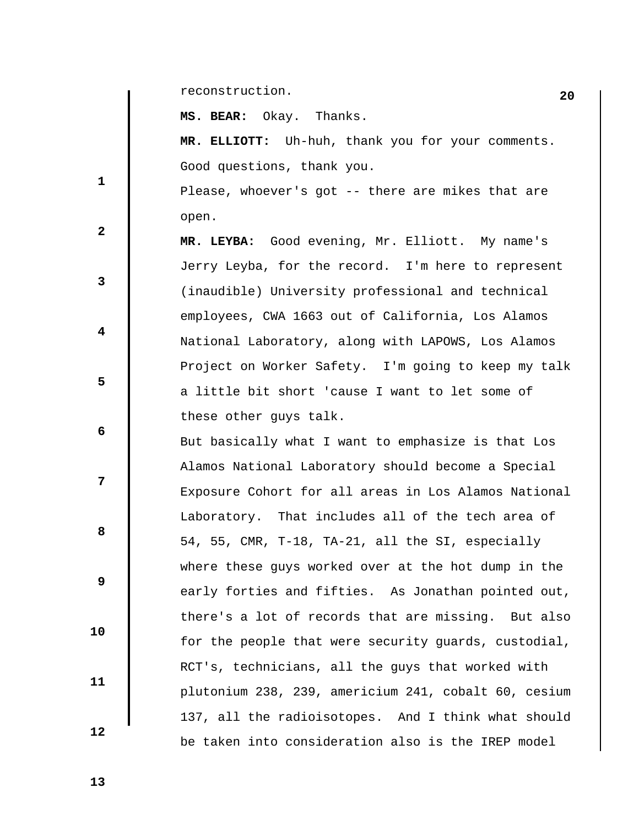**20** reconstruction.

 **MS. BEAR:** Okay. Thanks.

 **MR. ELLIOTT:** Uh-huh, thank you for your comments. Good questions, thank you.

 Please, whoever's got -- there are mikes that are open.

 **MR. LEYBA:** Good evening, Mr. Elliott. My name's Jerry Leyba, for the record. I'm here to represent (inaudible) University professional and technical employees, CWA 1663 out of California, Los Alamos National Laboratory, along with LAPOWS, Los Alamos Project on Worker Safety. I'm going to keep my talk a little bit short 'cause I want to let some of these other guys talk.

 But basically what I want to emphasize is that Los Alamos National Laboratory should become a Special Exposure Cohort for all areas in Los Alamos National Laboratory. That includes all of the tech area of 54, 55, CMR, T-18, TA-21, all the SI, especially where these guys worked over at the hot dump in the early forties and fifties. As Jonathan pointed out, there's a lot of records that are missing. But also for the people that were security guards, custodial, RCT's, technicians, all the guys that worked with plutonium 238, 239, americium 241, cobalt 60, cesium 137, all the radioisotopes. And I think what should be taken into consideration also is the IREP model

 **12** 

 **10** 

 **11** 

 **1** 

 **2** 

 **3** 

 **5** 

 **7** 

 **4** 

 **6** 

**8 8** 

 **9**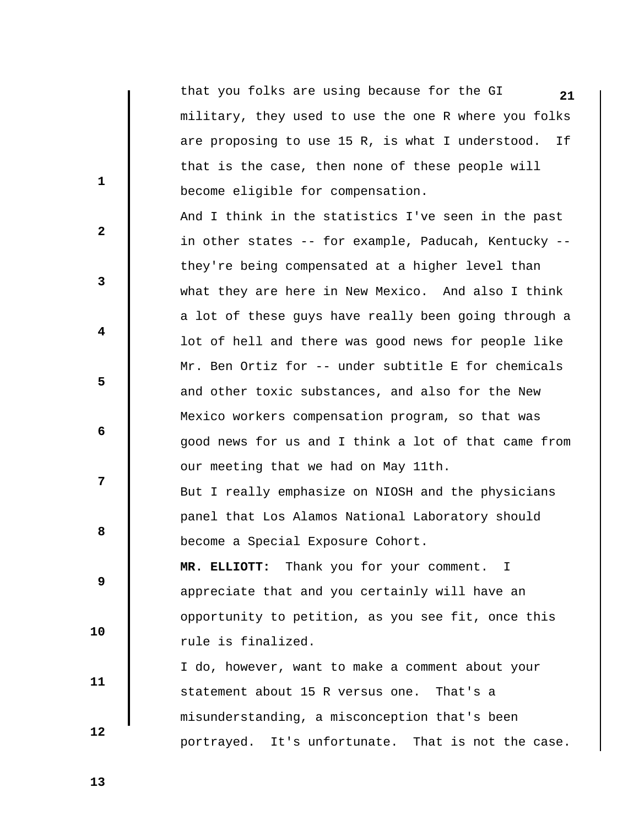**21** that you folks are using because for the GI military, they used to use the one R where you folks are proposing to use 15 R, is what I understood. If that is the case, then none of these people will become eligible for compensation.

 And I think in the statistics I've seen in the past in other states -- for example, Paducah, Kentucky - they're being compensated at a higher level than what they are here in New Mexico. And also I think a lot of these guys have really been going through a lot of hell and there was good news for people like Mr. Ben Ortiz for -- under subtitle E for chemicals and other toxic substances, and also for the New Mexico workers compensation program, so that was good news for us and I think a lot of that came from our meeting that we had on May 11th.

 But I really emphasize on NIOSH and the physicians panel that Los Alamos National Laboratory should become a Special Exposure Cohort.

 **MR. ELLIOTT:** Thank you for your comment. I appreciate that and you certainly will have an opportunity to petition, as you see fit, once this rule is finalized.

 I do, however, want to make a comment about your statement about 15 R versus one. That's a misunderstanding, a misconception that's been portrayed. It's unfortunate. That is not the case.

 **13** 

 **10** 

 **11** 

 **12** 

 **1** 

**2** 

**3** 

 **4** 

 **6** 

**8 8** 

 **9** 

 **5**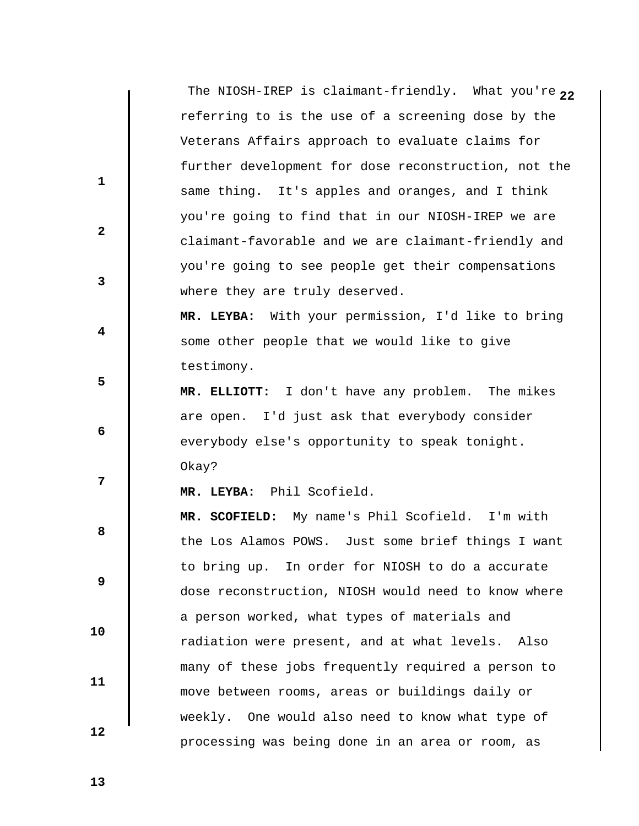The NIOSH-IREP is claimant-friendly. What you're <sub>22</sub> referring to is the use of a screening dose by the Veterans Affairs approach to evaluate claims for further development for dose reconstruction, not the same thing. It's apples and oranges, and I think you're going to find that in our NIOSH-IREP we are claimant-favorable and we are claimant-friendly and you're going to see people get their compensations where they are truly deserved.  **MR. LEYBA:** With your permission, I'd like to bring some other people that we would like to give testimony.

 **MR. ELLIOTT:** I don't have any problem. The mikes are open. I'd just ask that everybody consider everybody else's opportunity to speak tonight. Okay?

 **MR. LEYBA:** Phil Scofield.

**8 8 9 MR. SCOFIELD:** My name's Phil Scofield. I'm with the Los Alamos POWS. Just some brief things I want to bring up. In order for NIOSH to do a accurate dose reconstruction, NIOSH would need to know where a person worked, what types of materials and radiation were present, and at what levels. Also many of these jobs frequently required a person to move between rooms, areas or buildings daily or weekly. One would also need to know what type of processing was being done in an area or room, as

 **13** 

 **10** 

 **11** 

 **12** 

 **1** 

**2** 

**3** 

 **4** 

 **6** 

**12**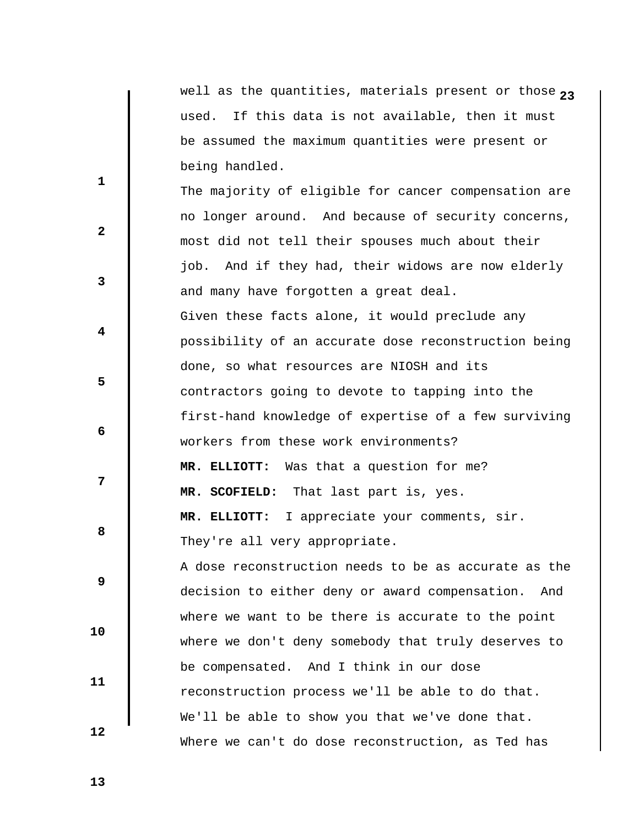well as the quantities, materials present or those <sub>23</sub> used. If this data is not available, then it must be assumed the maximum quantities were present or being handled.

**2 3 4 5 6 7 8 8 9 10 11 12**  The majority of eligible for cancer compensation are no longer around. And because of security concerns, most did not tell their spouses much about their job. And if they had, their widows are now elderly and many have forgotten a great deal. Given these facts alone, it would preclude any possibility of an accurate dose reconstruction being done, so what resources are NIOSH and its contractors going to devote to tapping into the first-hand knowledge of expertise of a few surviving workers from these work environments?  **MR. ELLIOTT:** Was that a question for me?  **MR. SCOFIELD:** That last part is, yes.  **MR. ELLIOTT:** I appreciate your comments, sir. They're all very appropriate. A dose reconstruction needs to be as accurate as the decision to either deny or award compensation. And where we want to be there is accurate to the point where we don't deny somebody that truly deserves to be compensated. And I think in our dose reconstruction process we'll be able to do that. We'll be able to show you that we've done that. Where we can't do dose reconstruction, as Ted has

 **13**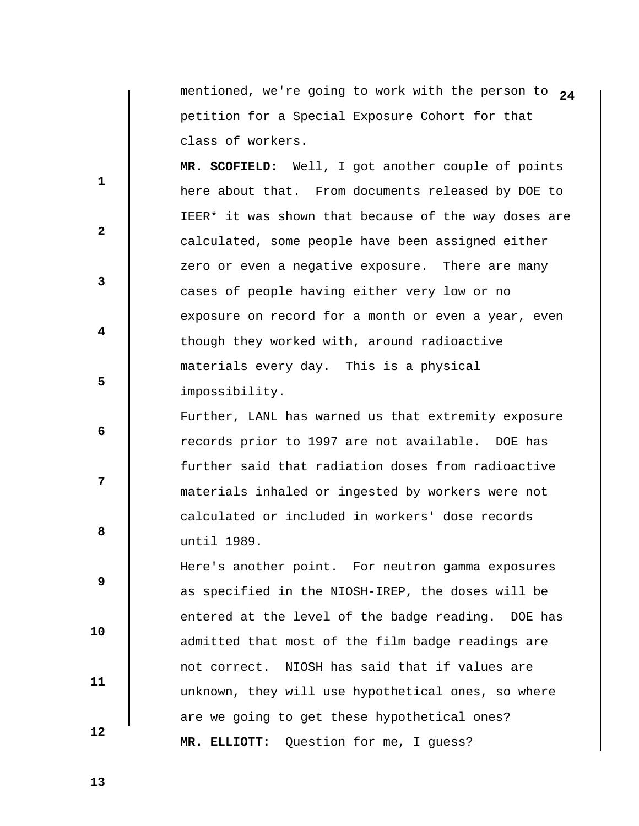mentioned, we're going to work with the person to  $24$ petition for a Special Exposure Cohort for that class of workers.

 **MR. SCOFIELD:** Well, I got another couple of points here about that. From documents released by DOE to IEER\* it was shown that because of the way doses are calculated, some people have been assigned either zero or even a negative exposure. There are many cases of people having either very low or no exposure on record for a month or even a year, even though they worked with, around radioactive materials every day. This is a physical impossibility.

 Further, LANL has warned us that extremity exposure records prior to 1997 are not available. DOE has further said that radiation doses from radioactive materials inhaled or ingested by workers were not calculated or included in workers' dose records until 1989.

 Here's another point. For neutron gamma exposures as specified in the NIOSH-IREP, the doses will be entered at the level of the badge reading. DOE has admitted that most of the film badge readings are not correct. NIOSH has said that if values are unknown, they will use hypothetical ones, so where are we going to get these hypothetical ones?  **MR. ELLIOTT:** Question for me, I guess?

 **13** 

 **10** 

 **11** 

 **12** 

 **1** 

 **3** 

 **5** 

**2** 

 **4** 

 **6** 

**12** 

**8 8**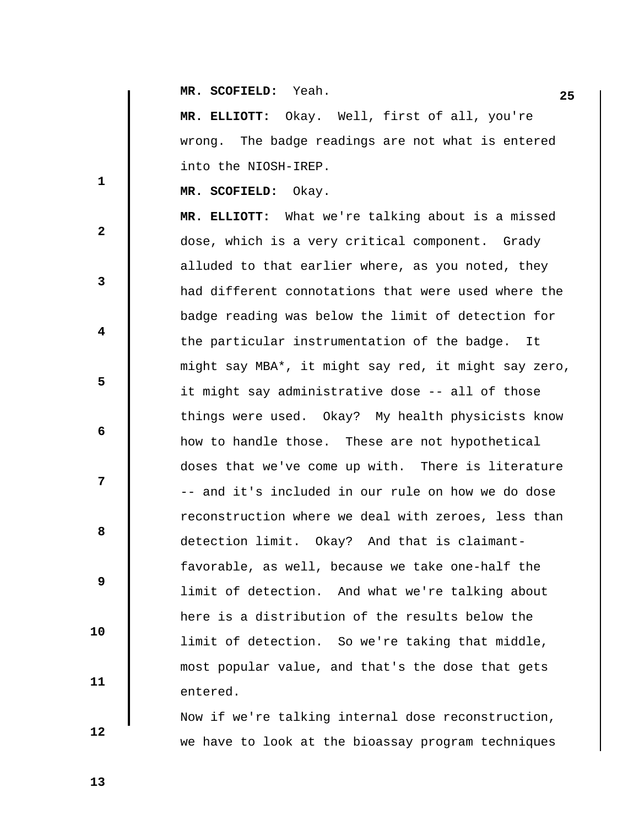**25 MR. SCOFIELD:** Yeah.

 **MR. ELLIOTT:** Okay. Well, first of all, you're wrong. The badge readings are not what is entered into the NIOSH-IREP.

 **MR. SCOFIELD:** Okay.

 **MR. ELLIOTT:** What we're talking about is a missed dose, which is a very critical component. Grady alluded to that earlier where, as you noted, they had different connotations that were used where the badge reading was below the limit of detection for the particular instrumentation of the badge. It might say MBA\*, it might say red, it might say zero, it might say administrative dose -- all of those things were used. Okay? My health physicists know how to handle those. These are not hypothetical doses that we've come up with. There is literature -- and it's included in our rule on how we do dose reconstruction where we deal with zeroes, less than detection limit. Okay? And that is claimantfavorable, as well, because we take one-half the limit of detection. And what we're talking about here is a distribution of the results below the limit of detection. So we're taking that middle, most popular value, and that's the dose that gets entered.

 Now if we're talking internal dose reconstruction, we have to look at the bioassay program techniques

 **12** 

 **10** 

 **11** 

 **1** 

**2** 

**3** 

 **4** 

 **6** 

**8 8** 

 **9** 

 **5** 

 **7**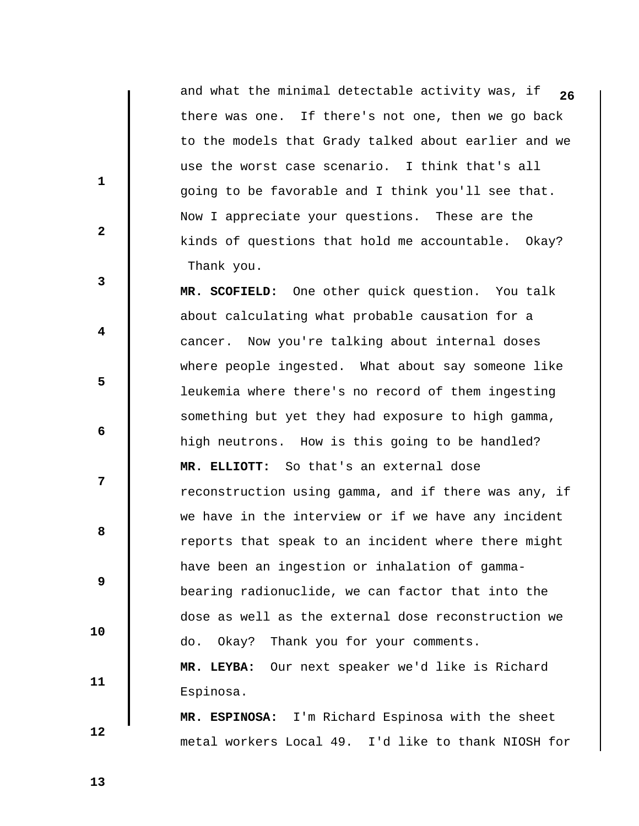and what the minimal detectable activity was, if 26 there was one. If there's not one, then we go back to the models that Grady talked about earlier and we use the worst case scenario. I think that's all going to be favorable and I think you'll see that. Now I appreciate your questions. These are the kinds of questions that hold me accountable. Okay? Thank you.

 **MR. SCOFIELD:** One other quick question. You talk about calculating what probable causation for a cancer. Now you're talking about internal doses where people ingested. What about say someone like leukemia where there's no record of them ingesting something but yet they had exposure to high gamma, high neutrons. How is this going to be handled?  **MR. ELLIOTT:** So that's an external dose reconstruction using gamma, and if there was any, if we have in the interview or if we have any incident reports that speak to an incident where there might have been an ingestion or inhalation of gammabearing radionuclide, we can factor that into the dose as well as the external dose reconstruction we do. Okay? Thank you for your comments.  **MR. LEYBA:** Our next speaker we'd like is Richard Espinosa.

 **MR. ESPINOSA:** I'm Richard Espinosa with the sheet metal workers Local 49. I'd like to thank NIOSH for

 **13** 

 **10** 

 **11** 

 **12** 

 **1** 

 **3** 

 **5** 

 **7** 

**2** 

 **4** 

 **6** 

**8 8**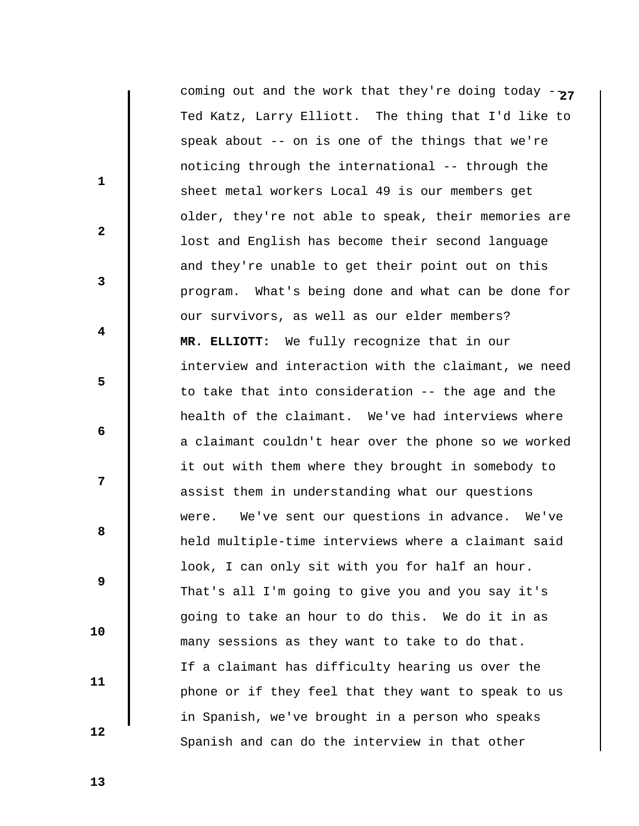**27** coming out and the work that they're doing today -- Ted Katz, Larry Elliott. The thing that I'd like to speak about -- on is one of the things that we're noticing through the international -- through the sheet metal workers Local 49 is our members get older, they're not able to speak, their memories are lost and English has become their second language and they're unable to get their point out on this program. What's being done and what can be done for our survivors, as well as our elder members?  **MR. ELLIOTT:** We fully recognize that in our interview and interaction with the claimant, we need to take that into consideration -- the age and the health of the claimant. We've had interviews where a claimant couldn't hear over the phone so we worked it out with them where they brought in somebody to assist them in understanding what our questions were. We've sent our questions in advance. We've held multiple-time interviews where a claimant said look, I can only sit with you for half an hour. That's all I'm going to give you and you say it's going to take an hour to do this. We do it in as many sessions as they want to take to do that. If a claimant has difficulty hearing us over the phone or if they feel that they want to speak to us in Spanish, we've brought in a person who speaks Spanish and can do the interview in that other

 **13** 

 **1** 

 **2** 

 **3** 

 **5** 

 **7** 

 **4** 

 **6** 

**8 8** 

 **9** 

 **10** 

 **11**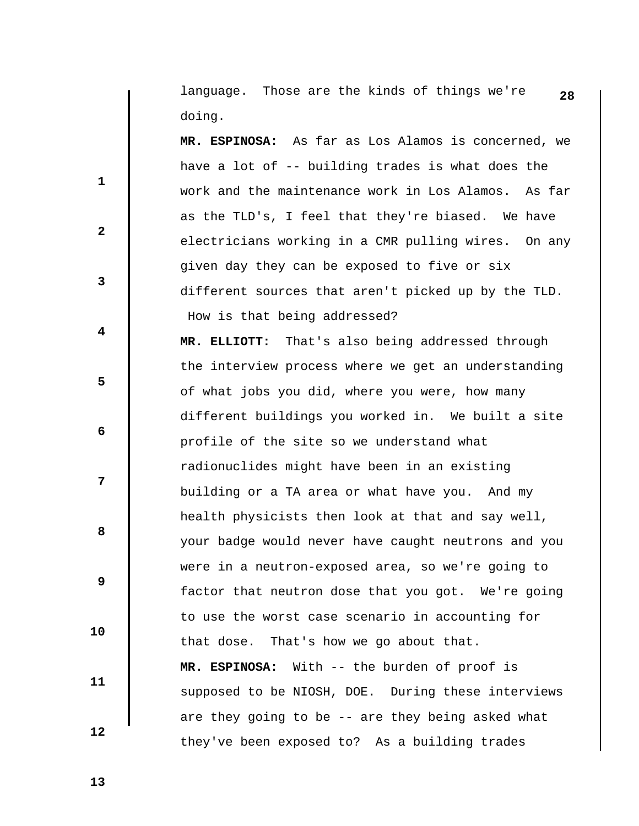**28** language. Those are the kinds of things we're doing.

 **MR. ESPINOSA:** As far as Los Alamos is concerned, we have a lot of -- building trades is what does the work and the maintenance work in Los Alamos. As far as the TLD's, I feel that they're biased. We have electricians working in a CMR pulling wires. On any given day they can be exposed to five or six different sources that aren't picked up by the TLD. How is that being addressed?

 **MR. ELLIOTT:** That's also being addressed through the interview process where we get an understanding of what jobs you did, where you were, how many different buildings you worked in. We built a site profile of the site so we understand what radionuclides might have been in an existing building or a TA area or what have you. And my health physicists then look at that and say well, your badge would never have caught neutrons and you were in a neutron-exposed area, so we're going to factor that neutron dose that you got. We're going to use the worst case scenario in accounting for that dose. That's how we go about that.

 **MR. ESPINOSA:** With -- the burden of proof is supposed to be NIOSH, DOE. During these interviews are they going to be -- are they being asked what they've been exposed to? As a building trades

 **13** 

 **10** 

 **11** 

 **12** 

 **1** 

**2** 

**3** 

 **4** 

 **6** 

**12** 

**8 8** 

 **9**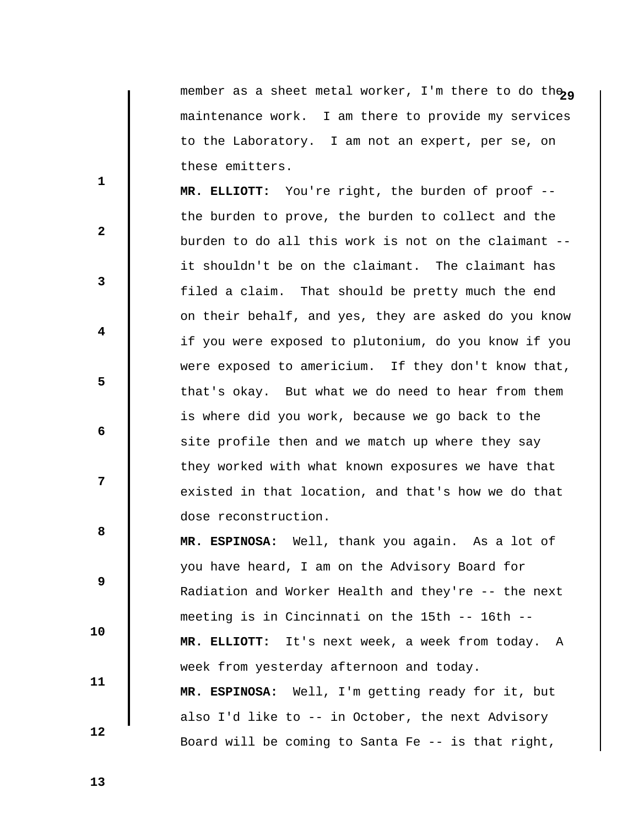member as a sheet metal worker, I'm there to do the<sub>ga</sub> maintenance work. I am there to provide my services to the Laboratory. I am not an expert, per se, on these emitters.

 **MR. ELLIOTT:** You're right, the burden of proof - the burden to prove, the burden to collect and the burden to do all this work is not on the claimant - it shouldn't be on the claimant. The claimant has filed a claim. That should be pretty much the end on their behalf, and yes, they are asked do you know if you were exposed to plutonium, do you know if you were exposed to americium. If they don't know that, that's okay. But what we do need to hear from them is where did you work, because we go back to the site profile then and we match up where they say they worked with what known exposures we have that existed in that location, and that's how we do that dose reconstruction.

 **MR. ESPINOSA:** Well, thank you again. As a lot of you have heard, I am on the Advisory Board for Radiation and Worker Health and they're -- the next meeting is in Cincinnati on the 15th -- 16th --  **MR. ELLIOTT:** It's next week, a week from today. A week from yesterday afternoon and today.  **MR. ESPINOSA:** Well, I'm getting ready for it, but also I'd like to -- in October, the next Advisory Board will be coming to Santa Fe -- is that right,

 **13** 

 **10** 

 **11** 

 **12** 

 **1** 

**2** 

**3** 

 **4** 

 **6** 

**8 8** 

 **9** 

 **5**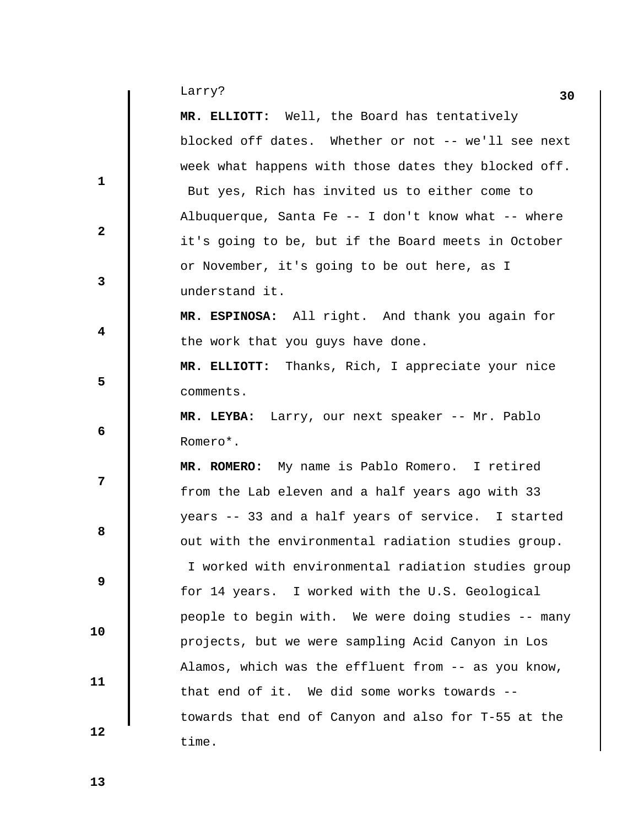| Larry?<br>- | 30 |
|-------------|----|
|             |    |

|              | Larry?<br>30                                         |
|--------------|------------------------------------------------------|
|              | MR. ELLIOTT: Well, the Board has tentatively         |
|              | blocked off dates. Whether or not -- we'll see next  |
|              | week what happens with those dates they blocked off. |
| $\mathbf{1}$ | But yes, Rich has invited us to either come to       |
|              | Albuquerque, Santa Fe -- I don't know what -- where  |
| $\mathbf{2}$ | it's going to be, but if the Board meets in October  |
|              | or November, it's going to be out here, as I         |
| 3            | understand it.                                       |
|              | MR. ESPINOSA: All right. And thank you again for     |
| 4            | the work that you guys have done.                    |
|              | MR. ELLIOTT: Thanks, Rich, I appreciate your nice    |
| 5            | comments.                                            |
|              | MR. LEYBA: Larry, our next speaker -- Mr. Pablo      |
| 6            | Romero*.                                             |
|              | MR. ROMERO: My name is Pablo Romero. I retired       |
| 7            | from the Lab eleven and a half years ago with 33     |
|              | years -- 33 and a half years of service. I started   |
| 8            | out with the environmental radiation studies group.  |
|              | I worked with environmental radiation studies group  |
| 9            | for 14 years. I worked with the U.S. Geological      |
|              | people to begin with. We were doing studies -- many  |
| 10           | projects, but we were sampling Acid Canyon in Los    |
|              | Alamos, which was the effluent from -- as you know,  |
| 11           | that end of it. We did some works towards --         |
|              | towards that end of Canyon and also for T-55 at the  |
| 12           | time.                                                |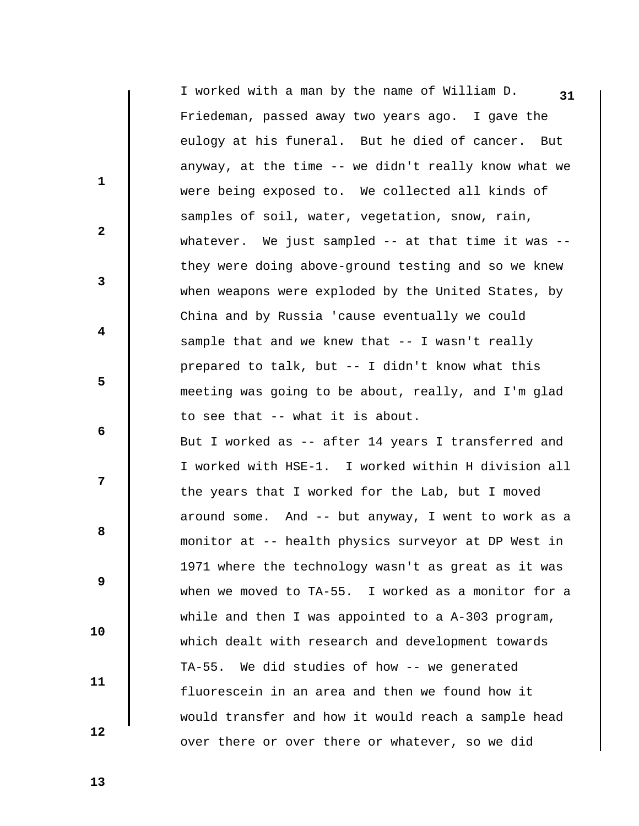**31** I worked with a man by the name of William D. Friedeman, passed away two years ago. I gave the eulogy at his funeral. But he died of cancer. But anyway, at the time -- we didn't really know what we were being exposed to. We collected all kinds of samples of soil, water, vegetation, snow, rain, whatever. We just sampled -- at that time it was - they were doing above-ground testing and so we knew when weapons were exploded by the United States, by China and by Russia 'cause eventually we could sample that and we knew that -- I wasn't really prepared to talk, but -- I didn't know what this meeting was going to be about, really, and I'm glad to see that -- what it is about.

 But I worked as -- after 14 years I transferred and I worked with HSE-1. I worked within H division all the years that I worked for the Lab, but I moved around some. And -- but anyway, I went to work as a monitor at -- health physics surveyor at DP West in 1971 where the technology wasn't as great as it was when we moved to TA-55. I worked as a monitor for a while and then I was appointed to a A-303 program, which dealt with research and development towards TA-55. We did studies of how -- we generated fluorescein in an area and then we found how it would transfer and how it would reach a sample head over there or over there or whatever, so we did

 **13** 

 **10** 

 **11** 

 **12** 

 **1** 

 **3** 

 **5** 

 **7** 

**2** 

 **4** 

 **6** 

**8 8**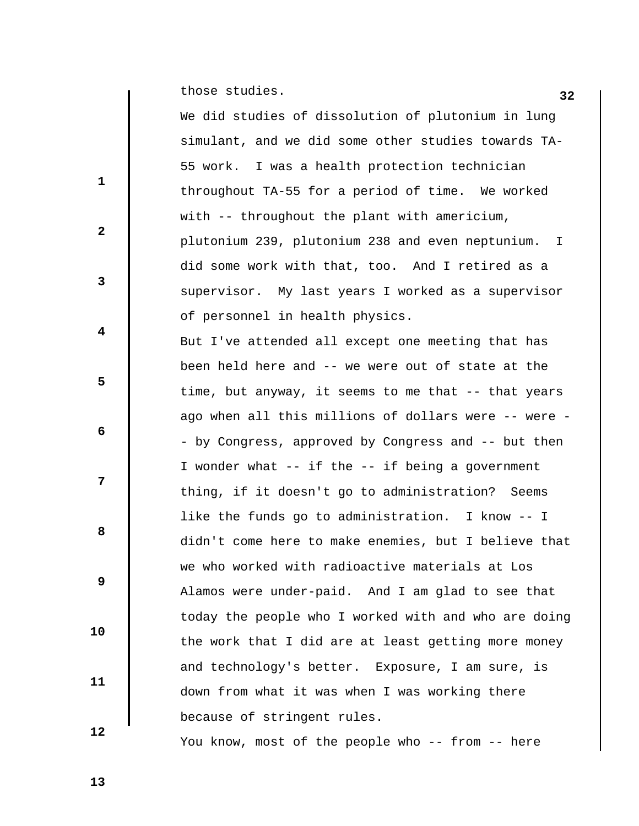**a** those studies. **32** 

 $\mathbf{I}$ 

|              | We did studies of dissolution of plutonium in lung     |
|--------------|--------------------------------------------------------|
|              | simulant, and we did some other studies towards TA-    |
| $\mathbf{1}$ | 55 work. I was a health protection technician          |
|              | throughout TA-55 for a period of time. We worked       |
| $\mathbf{2}$ | with -- throughout the plant with americium,           |
|              | plutonium 239, plutonium 238 and even neptunium.<br>T. |
|              | did some work with that, too. And I retired as a       |
| $\mathbf{3}$ | supervisor. My last years I worked as a supervisor     |
|              | of personnel in health physics.                        |
| 4            | But I've attended all except one meeting that has      |
|              | been held here and -- we were out of state at the      |
| 5            | time, but anyway, it seems to me that -- that years    |
|              | ago when all this millions of dollars were -- were -   |
| 6            | - by Congress, approved by Congress and -- but then    |
|              | I wonder what -- if the -- if being a government       |
| 7            | thing, if it doesn't go to administration? Seems       |
|              | like the funds go to administration. I know -- I       |
| 8            | didn't come here to make enemies, but I believe that   |
|              | we who worked with radioactive materials at Los        |
| 9            | Alamos were under-paid. And I am glad to see that      |
|              | today the people who I worked with and who are doing   |
| 10           | the work that I did are at least getting more money    |
|              | and technology's better. Exposure, I am sure, is       |
| 11           | down from what it was when I was working there         |
|              | because of stringent rules.                            |
| 12           |                                                        |

You know, most of the people who -- from -- here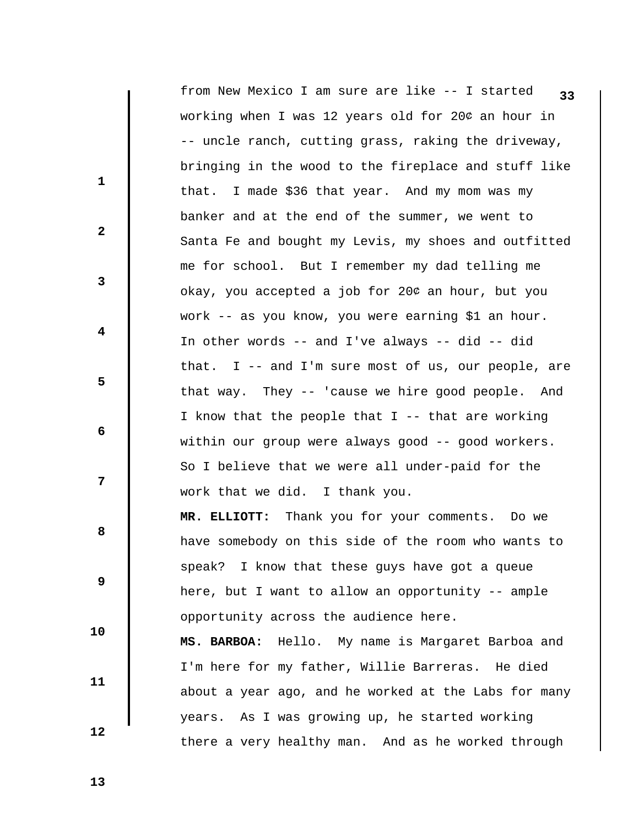**33** from New Mexico I am sure are like -- I started working when I was 12 years old for 204 an hour in -- uncle ranch, cutting grass, raking the driveway, bringing in the wood to the fireplace and stuff like that. I made \$36 that year. And my mom was my banker and at the end of the summer, we went to Santa Fe and bought my Levis, my shoes and outfitted me for school. But I remember my dad telling me okay, you accepted a job for 204 an hour, but you work -- as you know, you were earning \$1 an hour. In other words -- and I've always -- did -- did that. I -- and I'm sure most of us, our people, are that way. They -- 'cause we hire good people. And I know that the people that I -- that are working within our group were always good -- good workers. So I believe that we were all under-paid for the work that we did. I thank you.  **MR. ELLIOTT:** Thank you for your comments. Do we have somebody on this side of the room who wants to speak? I know that these guys have got a queue here, but I want to allow an opportunity -- ample opportunity across the audience here.  **MS. BARBOA:** Hello. My name is Margaret Barboa and I'm here for my father, Willie Barreras. He died

about a year ago, and he worked at the Labs for many

there a very healthy man. And as he worked through

years. As I was growing up, he started working

 **11** 

 **10** 

 **1** 

**2** 

**3** 

 **4** 

 **6** 

**8 8** 

 **9** 

 **5** 

 **7** 

 **12**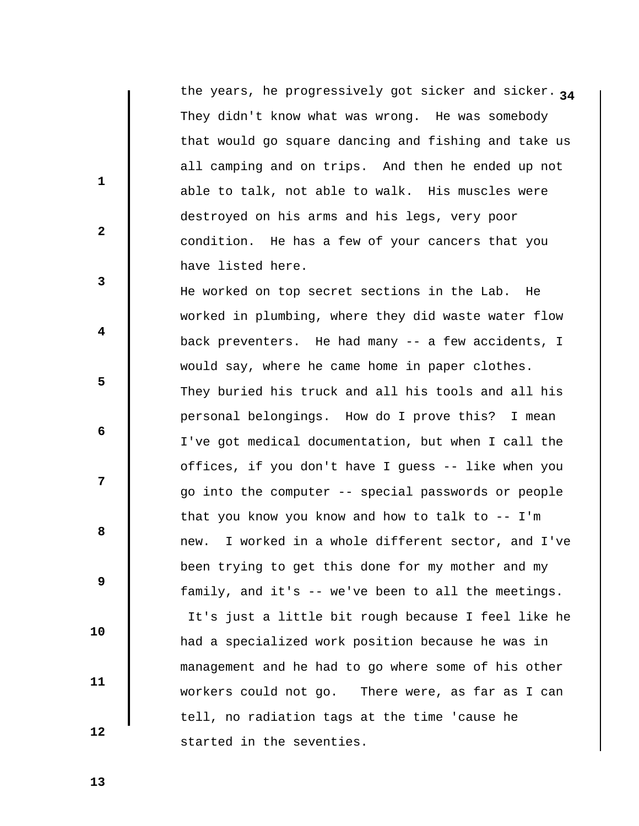the years, he progressively got sicker and sicker. <sub>24</sub> They didn't know what was wrong. He was somebody that would go square dancing and fishing and take us all camping and on trips. And then he ended up not able to talk, not able to walk. His muscles were destroyed on his arms and his legs, very poor condition. He has a few of your cancers that you have listed here.

 He worked on top secret sections in the Lab. He worked in plumbing, where they did waste water flow back preventers. He had many -- a few accidents, I would say, where he came home in paper clothes. They buried his truck and all his tools and all his personal belongings. How do I prove this? I mean I've got medical documentation, but when I call the offices, if you don't have I guess -- like when you go into the computer -- special passwords or people that you know you know and how to talk to  $-$ - I'm new. I worked in a whole different sector, and I've been trying to get this done for my mother and my family, and it's -- we've been to all the meetings. It's just a little bit rough because I feel like he had a specialized work position because he was in management and he had to go where some of his other workers could not go. There were, as far as I can tell, no radiation tags at the time 'cause he started in the seventies.

 **13** 

 **10** 

 **11** 

 **12** 

 **1** 

 **3** 

 **5** 

 **7** 

**2** 

 **4** 

 **6** 

**8 8**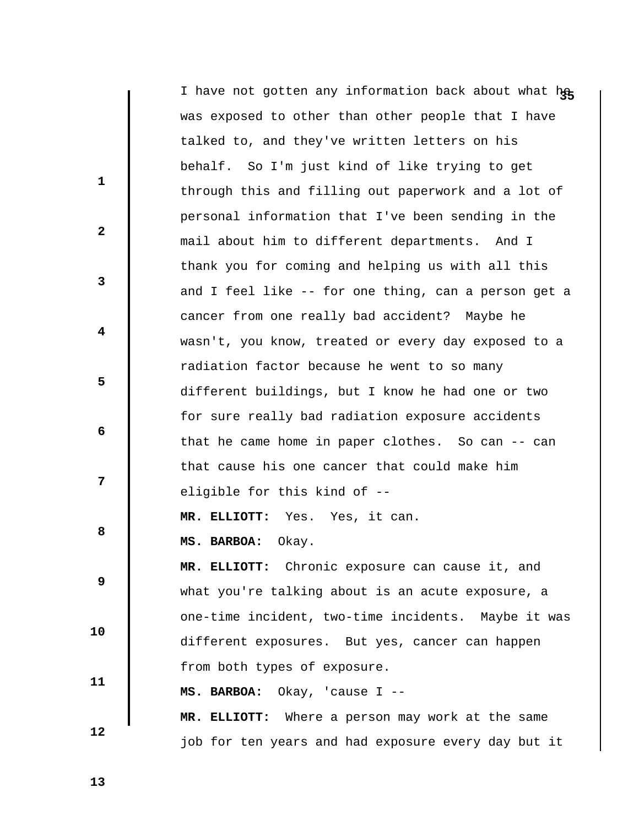|              | I have not gotten any information back about what he |
|--------------|------------------------------------------------------|
|              | was exposed to other than other people that I have   |
|              | talked to, and they've written letters on his        |
| $\mathbf{1}$ | behalf. So I'm just kind of like trying to get       |
|              | through this and filling out paperwork and a lot of  |
|              | personal information that I've been sending in the   |
| $\mathbf{2}$ | mail about him to different departments. And I       |
|              | thank you for coming and helping us with all this    |
| 3            | and I feel like -- for one thing, can a person get a |
|              | cancer from one really bad accident? Maybe he        |
| 4            | wasn't, you know, treated or every day exposed to a  |
|              | radiation factor because he went to so many          |
| 5            | different buildings, but I know he had one or two    |
|              | for sure really bad radiation exposure accidents     |
| 6            | that he came home in paper clothes. So can $-$ can   |
|              | that cause his one cancer that could make him        |
| 7            | eligible for this kind of --                         |
|              | MR. ELLIOTT: Yes. Yes, it can.                       |
| 8            | MS. BARBOA:<br>Okay.                                 |
|              | MR. ELLIOTT: Chronic exposure can cause it, and      |
| 9            | what you're talking about is an acute exposure, a    |
|              | one-time incident, two-time incidents. Maybe it was  |
| 10           | different exposures. But yes, cancer can happen      |
|              | from both types of exposure.                         |
| 11           | MS. BARBOA:<br>Okay, 'cause I --                     |
|              | MR. ELLIOTT: Where a person may work at the same     |
| 12           | job for ten years and had exposure every day but it  |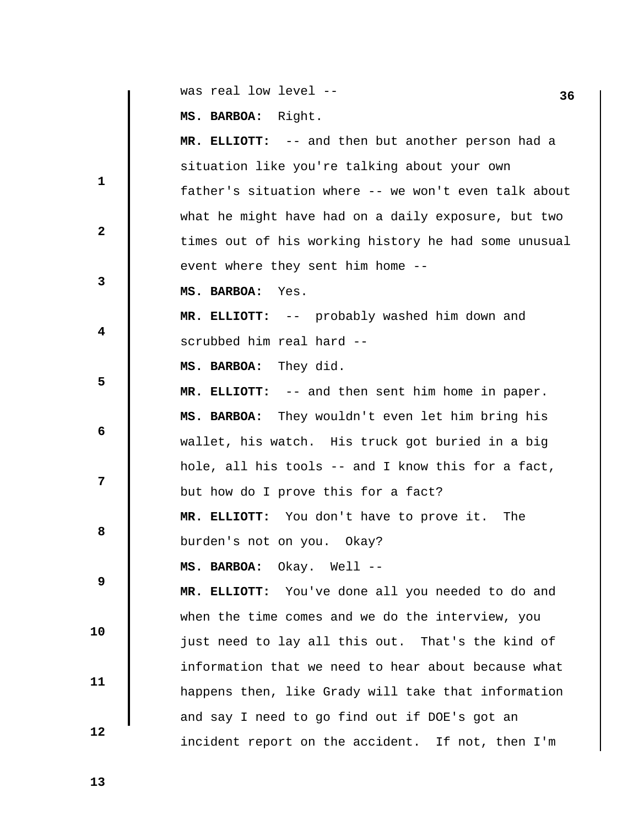|              | was real low level --                                | 36 |
|--------------|------------------------------------------------------|----|
|              | MS. BARBOA: Right.                                   |    |
|              | MR. ELLIOTT: -- and then but another person had a    |    |
|              | situation like you're talking about your own         |    |
| $\mathbf{1}$ | father's situation where -- we won't even talk about |    |
|              | what he might have had on a daily exposure, but two  |    |
| $\mathbf{2}$ | times out of his working history he had some unusual |    |
|              | event where they sent him home --                    |    |
| 3            | MS. BARBOA:<br>Yes.                                  |    |
|              | MR. ELLIOTT: -- probably washed him down and         |    |
| 4            | scrubbed him real hard --                            |    |
|              | MS. BARBOA: They did.                                |    |
| 5            | MR. ELLIOTT: -- and then sent him home in paper.     |    |
|              | MS. BARBOA: They wouldn't even let him bring his     |    |
| 6            | wallet, his watch. His truck got buried in a big     |    |
|              | hole, all his tools -- and I know this for a fact,   |    |
| 7            | but how do I prove this for a fact?                  |    |
|              | MR. ELLIOTT: You don't have to prove it. The         |    |
| 8            | burden's not on you.<br>Okay?                        |    |
|              | MS. BARBOA: Okay. Well --                            |    |
| 9            | MR. ELLIOTT: You've done all you needed to do and    |    |
|              | when the time comes and we do the interview, you     |    |
| 10           | just need to lay all this out. That's the kind of    |    |
|              | information that we need to hear about because what  |    |
| 11           | happens then, like Grady will take that information  |    |
|              | and say I need to go find out if DOE's got an        |    |
| 12           | incident report on the accident. If not, then I'm    |    |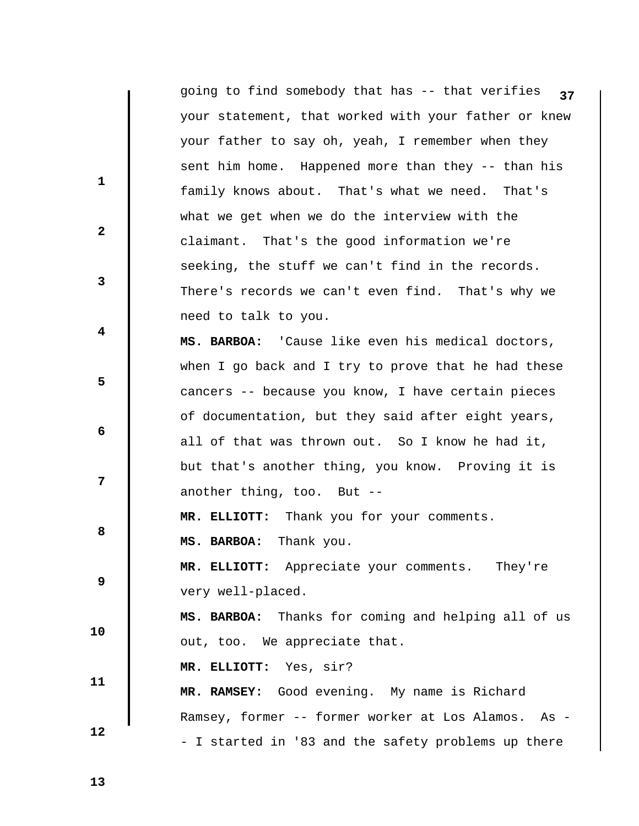|              | going to find somebody that has -- that verifies<br>37 |
|--------------|--------------------------------------------------------|
|              | your statement, that worked with your father or knew   |
|              | your father to say oh, yeah, I remember when they      |
|              | sent him home. Happened more than they -- than his     |
| $\mathbf{1}$ | family knows about. That's what we need. That's        |
|              | what we get when we do the interview with the          |
| $\mathbf{2}$ | claimant. That's the good information we're            |
|              | seeking, the stuff we can't find in the records.       |
| 3            | There's records we can't even find. That's why we      |
|              | need to talk to you.                                   |
| 4            | MS. BARBOA: 'Cause like even his medical doctors,      |
|              | when I go back and I try to prove that he had these    |
| 5            | cancers -- because you know, I have certain pieces     |
|              | of documentation, but they said after eight years,     |
| 6            | all of that was thrown out. So I know he had it,       |
|              | but that's another thing, you know. Proving it is      |
| 7            | another thing, too. But --                             |
|              | MR. ELLIOTT: Thank you for your comments.              |
| 8            | MS. BARBOA: Thank you.                                 |
|              | MR. ELLIOTT: Appreciate your comments.<br>They're      |
| 9            | very well-placed.                                      |
|              | MS. BARBOA: Thanks for coming and helping all of us    |
| 10           | out, too. We appreciate that.                          |
|              | MR. ELLIOTT: Yes, sir?                                 |
| 11           | MR. RAMSEY: Good evening. My name is Richard           |
|              | Ramsey, former -- former worker at Los Alamos. As -    |
| 12           | - I started in '83 and the safety problems up there    |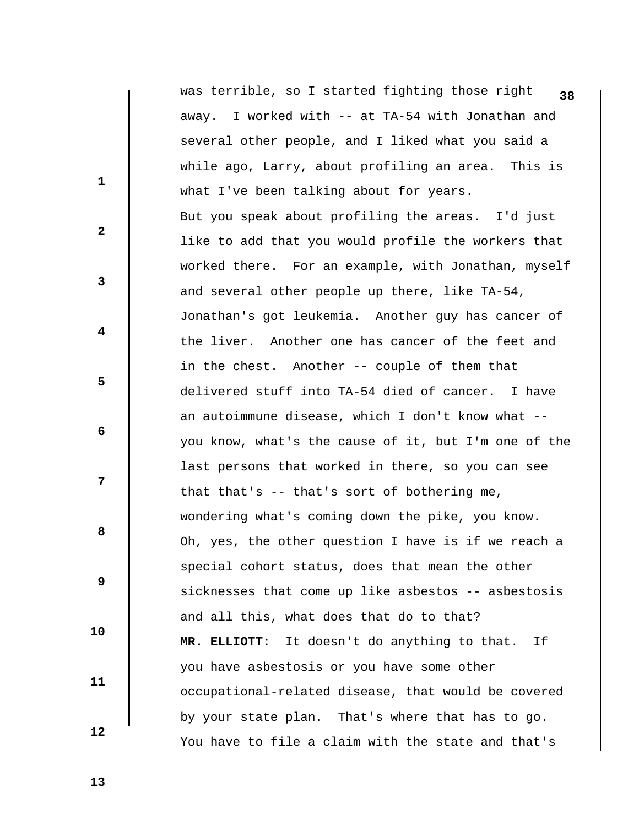**1 2 3 4 5 6 7 8 8 9 10 11 12 38** was terrible, so I started fighting those right away. I worked with -- at TA-54 with Jonathan and several other people, and I liked what you said a while ago, Larry, about profiling an area. This is what I've been talking about for years. But you speak about profiling the areas. I'd just like to add that you would profile the workers that worked there. For an example, with Jonathan, myself and several other people up there, like TA-54, Jonathan's got leukemia. Another guy has cancer of the liver. Another one has cancer of the feet and in the chest. Another -- couple of them that delivered stuff into TA-54 died of cancer. I have an autoimmune disease, which I don't know what - you know, what's the cause of it, but I'm one of the last persons that worked in there, so you can see that that's -- that's sort of bothering me, wondering what's coming down the pike, you know. Oh, yes, the other question I have is if we reach a special cohort status, does that mean the other sicknesses that come up like asbestos -- asbestosis and all this, what does that do to that?  **MR. ELLIOTT:** It doesn't do anything to that. If you have asbestosis or you have some other occupational-related disease, that would be covered by your state plan. That's where that has to go. You have to file a claim with the state and that's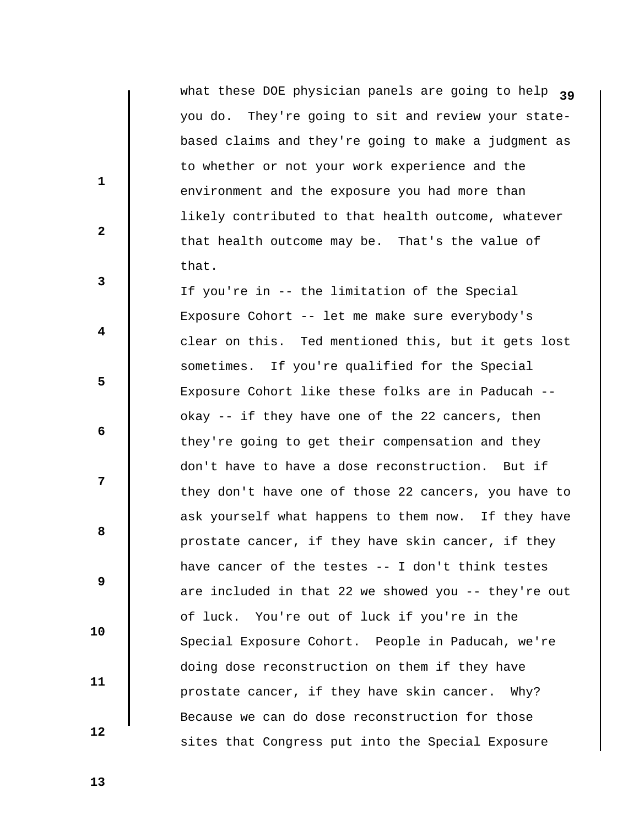what these DOE physician panels are going to help <sub>39</sub> you do. They're going to sit and review your statebased claims and they're going to make a judgment as to whether or not your work experience and the environment and the exposure you had more than likely contributed to that health outcome, whatever that health outcome may be. That's the value of that.

 If you're in -- the limitation of the Special Exposure Cohort -- let me make sure everybody's clear on this. Ted mentioned this, but it gets lost sometimes. If you're qualified for the Special Exposure Cohort like these folks are in Paducah - okay -- if they have one of the 22 cancers, then they're going to get their compensation and they don't have to have a dose reconstruction. But if they don't have one of those 22 cancers, you have to ask yourself what happens to them now. If they have prostate cancer, if they have skin cancer, if they have cancer of the testes -- I don't think testes are included in that 22 we showed you -- they're out of luck. You're out of luck if you're in the Special Exposure Cohort. People in Paducah, we're doing dose reconstruction on them if they have prostate cancer, if they have skin cancer. Why? Because we can do dose reconstruction for those sites that Congress put into the Special Exposure

 **13** 

 **12** 

 **10** 

 **11** 

 **1** 

 **3** 

 **5** 

 **7** 

**2** 

 **4** 

 **6** 

**8 8**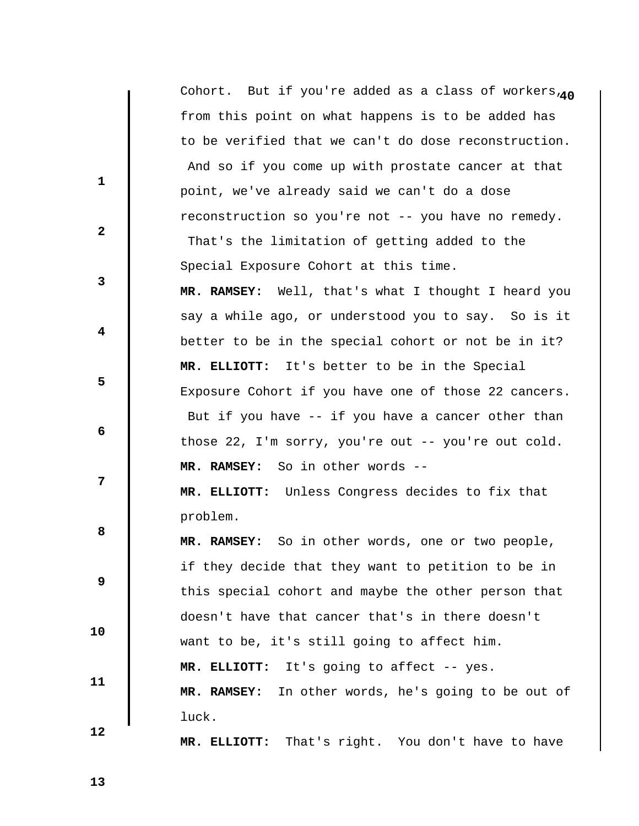|                         | Cohort. But if you're added as a class of workers,40 |
|-------------------------|------------------------------------------------------|
|                         | from this point on what happens is to be added has   |
|                         | to be verified that we can't do dose reconstruction. |
|                         | And so if you come up with prostate cancer at that   |
| $\mathbf{1}$            | point, we've already said we can't do a dose         |
|                         | reconstruction so you're not -- you have no remedy.  |
| $\mathbf{2}$            | That's the limitation of getting added to the        |
|                         | Special Exposure Cohort at this time.                |
| $\mathbf{3}$            | MR. RAMSEY: Well, that's what I thought I heard you  |
|                         | say a while ago, or understood you to say. So is it  |
| $\overline{\mathbf{4}}$ | better to be in the special cohort or not be in it?  |
|                         | MR. ELLIOTT: It's better to be in the Special        |
| 5                       | Exposure Cohort if you have one of those 22 cancers. |
|                         | But if you have -- if you have a cancer other than   |
| 6                       | those 22, I'm sorry, you're out -- you're out cold.  |
|                         | MR. RAMSEY: So in other words --                     |
| 7                       | MR. ELLIOTT: Unless Congress decides to fix that     |
|                         | problem.                                             |
| 8                       | So in other words, one or two people,<br>MR. RAMSEY: |
|                         | if they decide that they want to petition to be in   |
| 9                       | this special cohort and maybe the other person that  |
|                         | doesn't have that cancer that's in there doesn't     |
| 10                      | want to be, it's still going to affect him.          |
|                         | It's going to affect -- yes.<br>MR. ELLIOTT:         |
| 11                      | MR. RAMSEY: In other words, he's going to be out of  |
|                         | luck.                                                |
| 12                      | That's right. You don't have to have<br>MR. ELLIOTT: |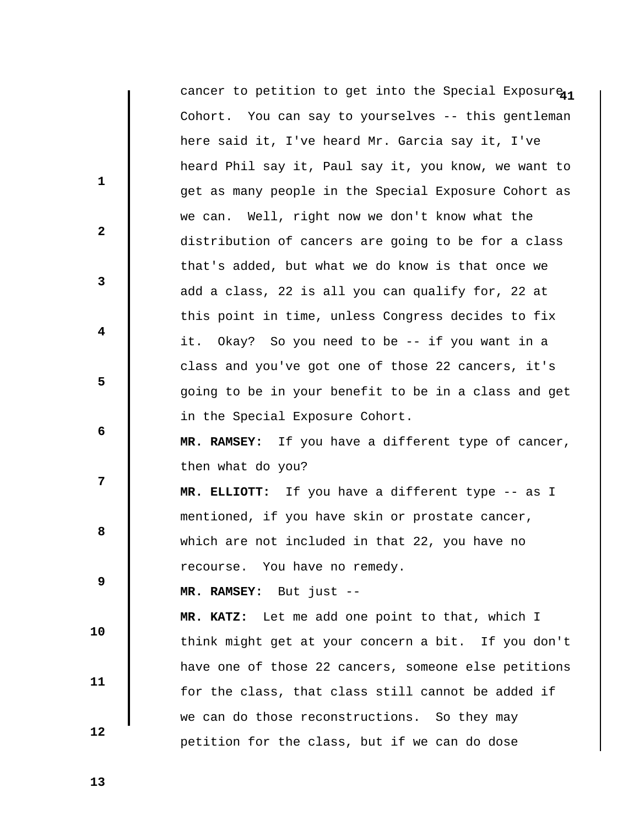|              | cancer to petition to get into the Special Exposure <sub>11</sub> |
|--------------|-------------------------------------------------------------------|
|              | Cohort. You can say to yourselves -- this gentleman               |
|              | here said it, I've heard Mr. Garcia say it, I've                  |
|              | heard Phil say it, Paul say it, you know, we want to              |
| $\mathbf{1}$ | get as many people in the Special Exposure Cohort as              |
|              | we can. Well, right now we don't know what the                    |
| $\mathbf{2}$ | distribution of cancers are going to be for a class               |
|              | that's added, but what we do know is that once we                 |
| 3            | add a class, 22 is all you can qualify for, 22 at                 |
|              | this point in time, unless Congress decides to fix                |
| 4            | Okay? So you need to be -- if you want in a<br>it.                |
|              | class and you've got one of those 22 cancers, it's                |
| 5            | going to be in your benefit to be in a class and get              |
|              | in the Special Exposure Cohort.                                   |
| 6            | MR. RAMSEY: If you have a different type of cancer,               |
|              | then what do you?                                                 |
| 7            | MR. ELLIOTT: If you have a different type -- as I                 |
|              | mentioned, if you have skin or prostate cancer,                   |
| 8            | which are not included in that 22, you have no                    |
|              | recourse. You have no remedy.                                     |
| 9            | MR. RAMSEY: But just --                                           |
|              | Let me add one point to that, which I<br>MR. KATZ:                |
| 10           | think might get at your concern a bit. If you don't               |
|              | have one of those 22 cancers, someone else petitions              |
| 11           | for the class, that class still cannot be added if                |
|              | we can do those reconstructions. So they may                      |
| 12           | petition for the class, but if we can do dose                     |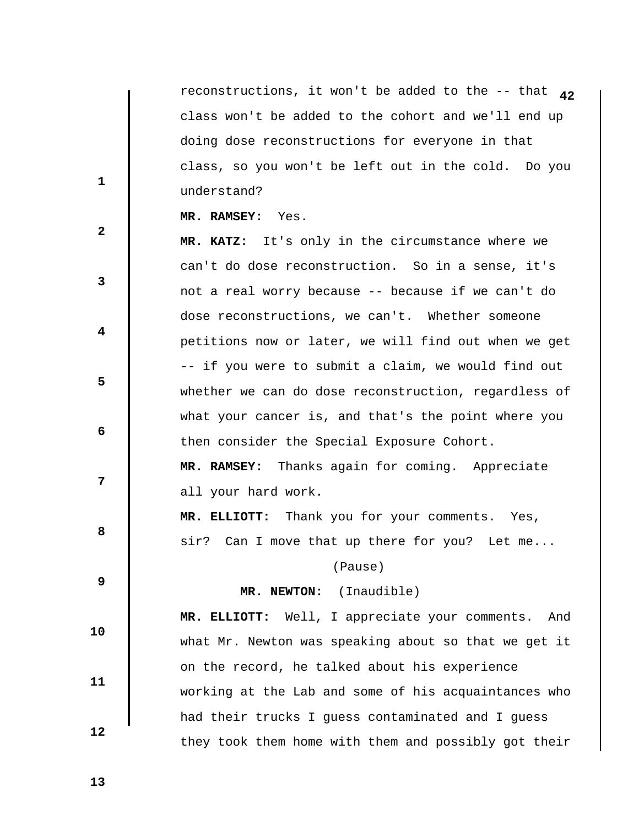**42** reconstructions, it won't be added to the -- that class won't be added to the cohort and we'll end up doing dose reconstructions for everyone in that class, so you won't be left out in the cold. Do you understand?

 **MR. RAMSEY:** Yes.

 **MR. KATZ:** It's only in the circumstance where we can't do dose reconstruction. So in a sense, it's not a real worry because -- because if we can't do dose reconstructions, we can't. Whether someone petitions now or later, we will find out when we get -- if you were to submit a claim, we would find out whether we can do dose reconstruction, regardless of what your cancer is, and that's the point where you then consider the Special Exposure Cohort.

 **MR. RAMSEY:** Thanks again for coming. Appreciate all your hard work.

 **MR. ELLIOTT:** Thank you for your comments. Yes, sir? Can I move that up there for you? Let me...

(Pause)

## **MR. NEWTON:** (Inaudible)

 **10** 

 **11** 

 **12** 

 **1** 

**2** 

**3** 

 **4** 

 **6** 

**8 8** 

 **9** 

 **5** 

 **7** 

 **MR. ELLIOTT:** Well, I appreciate your comments. And what Mr. Newton was speaking about so that we get it on the record, he talked about his experience working at the Lab and some of his acquaintances who had their trucks I guess contaminated and I guess they took them home with them and possibly got their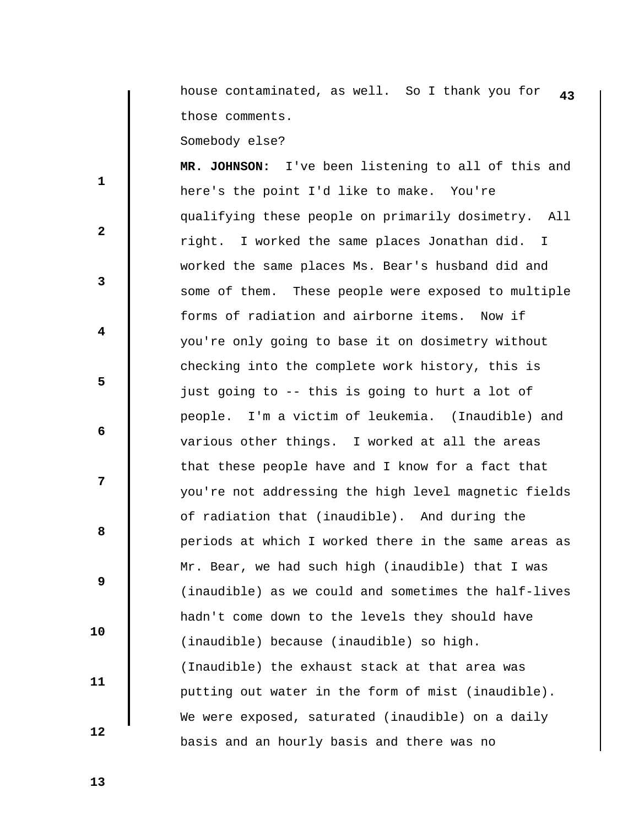**43** house contaminated, as well. So I thank you for those comments.

Somebody else?

 **MR. JOHNSON:** I've been listening to all of this and here's the point I'd like to make. You're qualifying these people on primarily dosimetry. All right. I worked the same places Jonathan did. I worked the same places Ms. Bear's husband did and some of them. These people were exposed to multiple forms of radiation and airborne items. Now if you're only going to base it on dosimetry without checking into the complete work history, this is just going to -- this is going to hurt a lot of people. I'm a victim of leukemia. (Inaudible) and various other things. I worked at all the areas that these people have and I know for a fact that you're not addressing the high level magnetic fields of radiation that (inaudible). And during the periods at which I worked there in the same areas as Mr. Bear, we had such high (inaudible) that I was (inaudible) as we could and sometimes the half-lives hadn't come down to the levels they should have (inaudible) because (inaudible) so high. (Inaudible) the exhaust stack at that area was putting out water in the form of mist (inaudible). We were exposed, saturated (inaudible) on a daily basis and an hourly basis and there was no

 **12** 

 **10** 

 **11** 

 **1** 

 **3** 

 **5** 

 **7** 

**2** 

 **4** 

 **6** 

**8 8** 

 **9**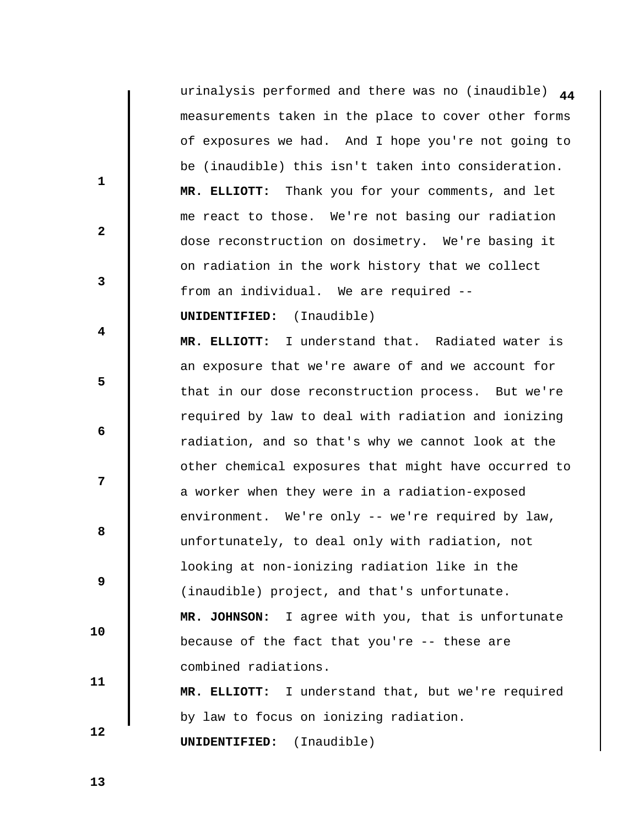**44** urinalysis performed and there was no (inaudible) measurements taken in the place to cover other forms of exposures we had. And I hope you're not going to be (inaudible) this isn't taken into consideration.  **MR. ELLIOTT:** Thank you for your comments, and let me react to those. We're not basing our radiation dose reconstruction on dosimetry. We're basing it on radiation in the work history that we collect from an individual. We are required --

## **UNIDENTIFIED:** (Inaudible)

 **MR. ELLIOTT:** I understand that. Radiated water is an exposure that we're aware of and we account for that in our dose reconstruction process. But we're required by law to deal with radiation and ionizing radiation, and so that's why we cannot look at the other chemical exposures that might have occurred to a worker when they were in a radiation-exposed environment. We're only -- we're required by law, unfortunately, to deal only with radiation, not looking at non-ionizing radiation like in the (inaudible) project, and that's unfortunate.  **MR. JOHNSON:** I agree with you, that is unfortunate because of the fact that you're -- these are combined radiations.

 **MR. ELLIOTT:** I understand that, but we're required by law to focus on ionizing radiation.  **UNIDENTIFIED:** (Inaudible)

 **13** 

 **10** 

 **11** 

 **12** 

 **1** 

 **3** 

 **5** 

**2** 

 **4** 

 **6** 

**12** 

**8 8**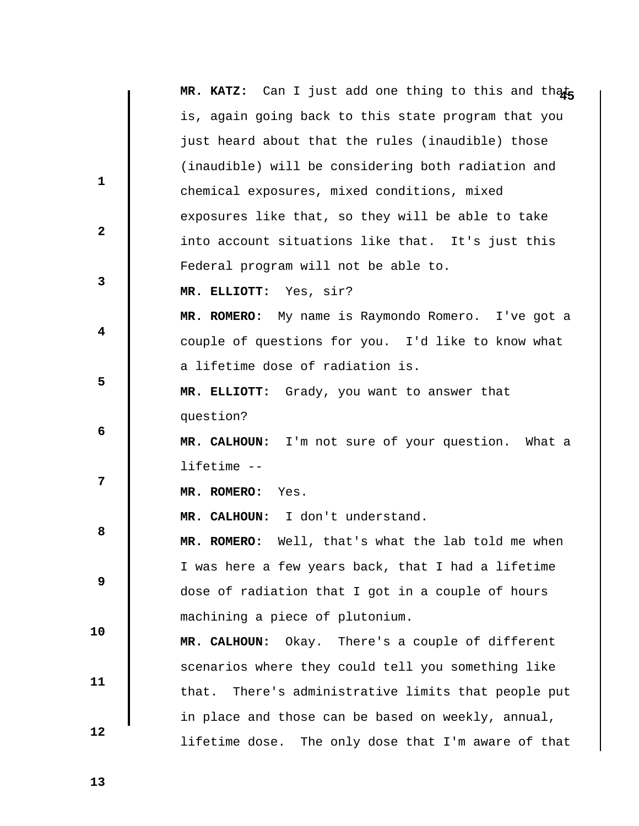|              | MR. KATZ: Can I just add one thing to this and thats   |
|--------------|--------------------------------------------------------|
|              | is, again going back to this state program that you    |
|              | just heard about that the rules (inaudible) those      |
|              | (inaudible) will be considering both radiation and     |
| $\mathbf{1}$ | chemical exposures, mixed conditions, mixed            |
|              | exposures like that, so they will be able to take      |
| $\mathbf{2}$ | into account situations like that. It's just this      |
|              | Federal program will not be able to.                   |
| 3            | MR. ELLIOTT: Yes, sir?                                 |
|              | MR. ROMERO: My name is Raymondo Romero. I've got a     |
| 4            | couple of questions for you. I'd like to know what     |
|              | a lifetime dose of radiation is.                       |
| 5            | MR. ELLIOTT: Grady, you want to answer that            |
|              | question?                                              |
| 6            | MR. CALHOUN: I'm not sure of your question. What a     |
|              | lifetime --                                            |
| 7            | MR. ROMERO:<br>Yes.                                    |
|              | MR. CALHOUN: I don't understand.                       |
| 8            | MR. ROMERO: Well, that's what the lab told me when     |
|              | I was here a few years back, that I had a lifetime     |
| 9            | dose of radiation that I got in a couple of hours      |
|              | machining a piece of plutonium.                        |
| 10           | MR. CALHOUN:<br>Okay. There's a couple of different    |
|              | scenarios where they could tell you something like     |
| 11           |                                                        |
|              | There's administrative limits that people put<br>that. |
| 12           | in place and those can be based on weekly, annual,     |
|              | lifetime dose.<br>The only dose that I'm aware of that |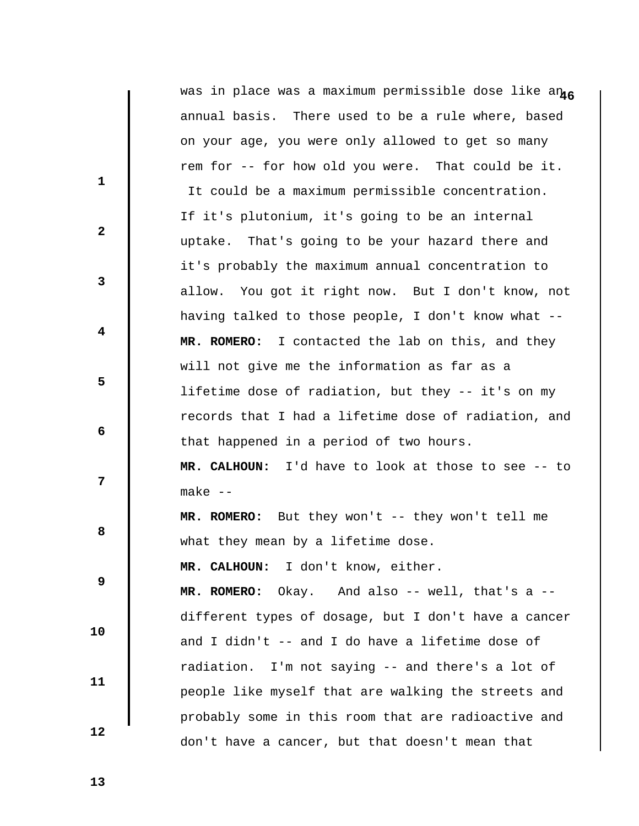|              | was in place was a maximum permissible dose like an46 |
|--------------|-------------------------------------------------------|
|              | annual basis. There used to be a rule where, based    |
|              | on your age, you were only allowed to get so many     |
|              | rem for -- for how old you were. That could be it.    |
| $\mathbf{1}$ | It could be a maximum permissible concentration.      |
|              | If it's plutonium, it's going to be an internal       |
| $\mathbf{2}$ | uptake. That's going to be your hazard there and      |
|              | it's probably the maximum annual concentration to     |
| 3            | allow. You got it right now. But I don't know, not    |
|              | having talked to those people, I don't know what --   |
| 4            | MR. ROMERO: I contacted the lab on this, and they     |
|              | will not give me the information as far as a          |
| 5            | lifetime dose of radiation, but they -- it's on my    |
|              | records that I had a lifetime dose of radiation, and  |
| 6            | that happened in a period of two hours.               |
|              | MR. CALHOUN: I'd have to look at those to see -- to   |
| 7            | $make -$                                              |
|              | MR. ROMERO: But they won't -- they won't tell me      |
| 8            | what they mean by a lifetime dose.                    |
|              | MR. CALHOUN: I don't know, either.                    |
| 9            | MR. ROMERO: Okay. And also -- well, that's a --       |
|              | different types of dosage, but I don't have a cancer  |
| 10           | and I didn't -- and I do have a lifetime dose of      |
|              | radiation. I'm not saying -- and there's a lot of     |
| 11           | people like myself that are walking the streets and   |
|              | probably some in this room that are radioactive and   |
| 12           | don't have a cancer, but that doesn't mean that       |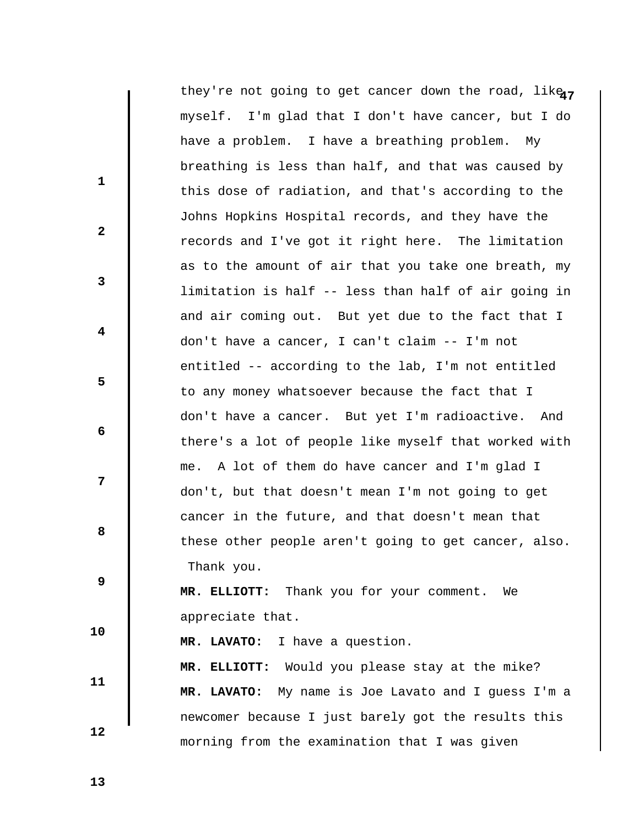|              | they're not going to get cancer down the road, like <sub>47</sub> |
|--------------|-------------------------------------------------------------------|
|              | myself. I'm glad that I don't have cancer, but I do               |
|              | have a problem. I have a breathing problem. My                    |
|              | breathing is less than half, and that was caused by               |
| $\mathbf{1}$ | this dose of radiation, and that's according to the               |
|              | Johns Hopkins Hospital records, and they have the                 |
| $\mathbf{2}$ | records and I've got it right here. The limitation                |
|              | as to the amount of air that you take one breath, my              |
| 3            | limitation is half -- less than half of air going in              |
|              | and air coming out. But yet due to the fact that I                |
| 4            | don't have a cancer, I can't claim -- I'm not                     |
|              | entitled -- according to the lab, I'm not entitled                |
| 5            | to any money whatsoever because the fact that I                   |
|              | don't have a cancer. But yet I'm radioactive. And                 |
| 6            | there's a lot of people like myself that worked with              |
|              | me. A lot of them do have cancer and I'm glad I                   |
| 7            | don't, but that doesn't mean I'm not going to get                 |
|              | cancer in the future, and that doesn't mean that                  |
| 8            | these other people aren't going to get cancer, also.              |
|              | Thank you.                                                        |
| 9            | MR. ELLIOTT: Thank you for your comment. We                       |
|              | appreciate that.                                                  |
| 10           | MR. LAVATO: I have a question.                                    |
|              | MR. ELLIOTT: Would you please stay at the mike?                   |
| 11           | MR. LAVATO: My name is Joe Lavato and I guess I'm a               |
| 12           | newcomer because I just barely got the results this               |
|              | morning from the examination that I was given                     |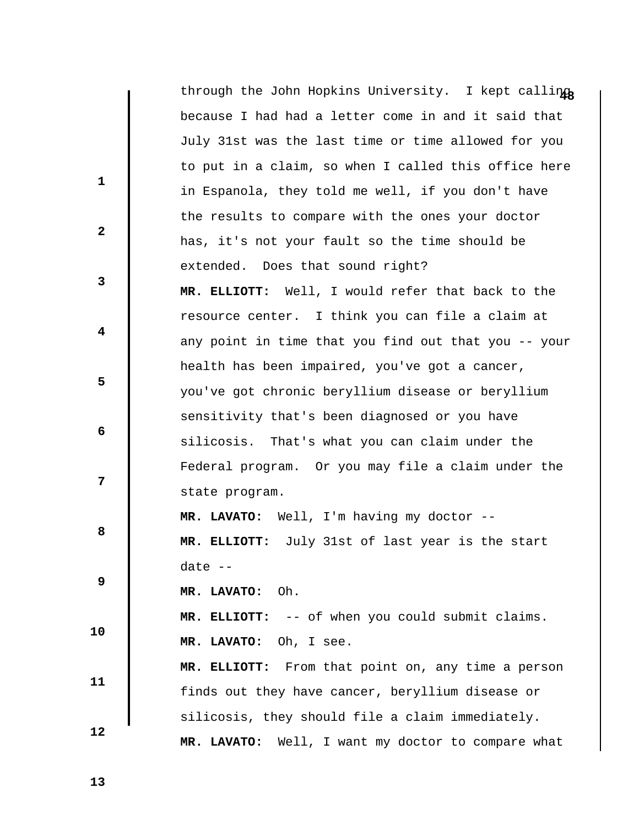|              | through the John Hopkins University. I kept calling   |
|--------------|-------------------------------------------------------|
|              | because I had had a letter come in and it said that   |
|              | July 31st was the last time or time allowed for you   |
|              | to put in a claim, so when I called this office here  |
| $\mathbf{1}$ | in Espanola, they told me well, if you don't have     |
|              | the results to compare with the ones your doctor      |
| $\mathbf{2}$ | has, it's not your fault so the time should be        |
|              | extended. Does that sound right?                      |
| 3            | MR. ELLIOTT: Well, I would refer that back to the     |
|              | resource center. I think you can file a claim at      |
| 4            | any point in time that you find out that you -- your  |
|              | health has been impaired, you've got a cancer,        |
| 5            | you've got chronic beryllium disease or beryllium     |
|              | sensitivity that's been diagnosed or you have         |
| 6            | silicosis. That's what you can claim under the        |
|              | Federal program. Or you may file a claim under the    |
| 7            | state program.                                        |
|              | MR. LAVATO: Well, I'm having my doctor --             |
| 8            | MR. ELLIOTT: July 31st of last year is the start      |
|              | date $--$                                             |
| 9            | Oh.<br>MR. LAVATO:                                    |
|              | MR. ELLIOTT: -- of when you could submit claims.      |
| 10           | MR. LAVATO:<br>Oh, I see.                             |
|              | MR. ELLIOTT: From that point on, any time a person    |
| 11           | finds out they have cancer, beryllium disease or      |
|              | silicosis, they should file a claim immediately.      |
| 12           | MR. LAVATO:<br>Well, I want my doctor to compare what |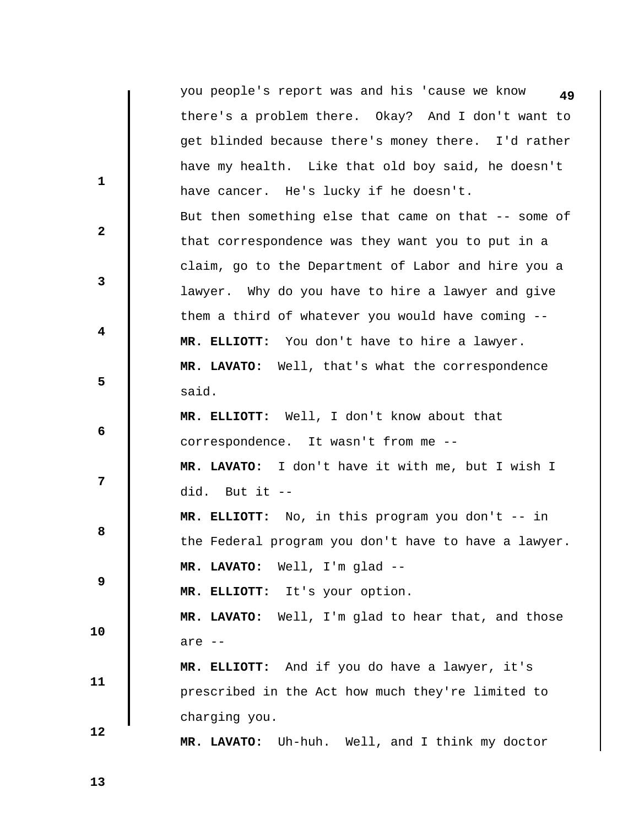|              | you people's report was and his 'cause we know<br>49 |
|--------------|------------------------------------------------------|
|              | there's a problem there. Okay? And I don't want to   |
|              | get blinded because there's money there. I'd rather  |
|              | have my health. Like that old boy said, he doesn't   |
| $\mathbf{1}$ | have cancer. He's lucky if he doesn't.               |
|              | But then something else that came on that -- some of |
| $\mathbf{2}$ | that correspondence was they want you to put in a    |
|              | claim, go to the Department of Labor and hire you a  |
| $\mathbf{3}$ | lawyer. Why do you have to hire a lawyer and give    |
|              | them a third of whatever you would have coming --    |
| 4            | MR. ELLIOTT: You don't have to hire a lawyer.        |
|              | MR. LAVATO: Well, that's what the correspondence     |
| 5            | said.                                                |
|              | MR. ELLIOTT: Well, I don't know about that           |
| 6            | correspondence. It wasn't from me --                 |
|              | MR. LAVATO: I don't have it with me, but I wish I    |
| 7            | did. But it --                                       |
|              | MR. ELLIOTT: No, in this program you don't -- in     |
| 8            | the Federal program you don't have to have a lawyer. |
|              | MR. LAVATO: Well, I'm glad --                        |
| 9            | MR. ELLIOTT: It's your option.                       |
|              | MR. LAVATO: Well, I'm glad to hear that, and those   |
| 10           | are $--$                                             |
|              | MR. ELLIOTT: And if you do have a lawyer, it's       |
| 11           | prescribed in the Act how much they're limited to    |
|              | charging you.                                        |
| 12           | Uh-huh. Well, and I think my doctor<br>MR. LAVATO:   |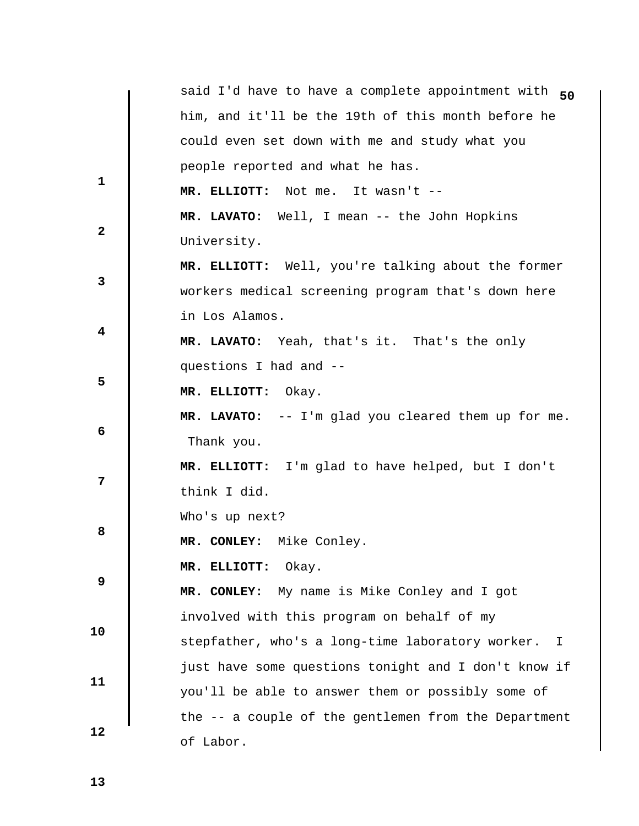|              | said I'd have to have a complete appointment with 50             |
|--------------|------------------------------------------------------------------|
|              | him, and it'll be the 19th of this month before he               |
|              | could even set down with me and study what you                   |
|              | people reported and what he has.                                 |
| $\mathbf{1}$ | MR. ELLIOTT: Not me. It wasn't --                                |
|              | MR. LAVATO: Well, I mean -- the John Hopkins                     |
| $\mathbf{2}$ | University.                                                      |
|              | MR. ELLIOTT: Well, you're talking about the former               |
| 3            | workers medical screening program that's down here               |
|              | in Los Alamos.                                                   |
| 4            | MR. LAVATO: Yeah, that's it. That's the only                     |
|              | questions I had and --                                           |
| 5            | MR. ELLIOTT: Okay.                                               |
|              | MR. LAVATO: -- I'm glad you cleared them up for me.              |
| 6            | Thank you.                                                       |
|              | MR. ELLIOTT: I'm glad to have helped, but I don't                |
| 7            | think I did.                                                     |
|              | Who's up next?                                                   |
| 8            | MR. CONLEY: Mike Conley.                                         |
|              | MR. ELLIOTT:<br>Okay.                                            |
| 9            | MR. CONLEY: My name is Mike Conley and I got                     |
|              | involved with this program on behalf of my                       |
| 10           | stepfather, who's a long-time laboratory worker.<br>$\mathbb{I}$ |
|              | just have some questions tonight and I don't know if             |
| 11           | you'll be able to answer them or possibly some of                |
|              | the -- a couple of the gentlemen from the Department             |
| 12           | of Labor.                                                        |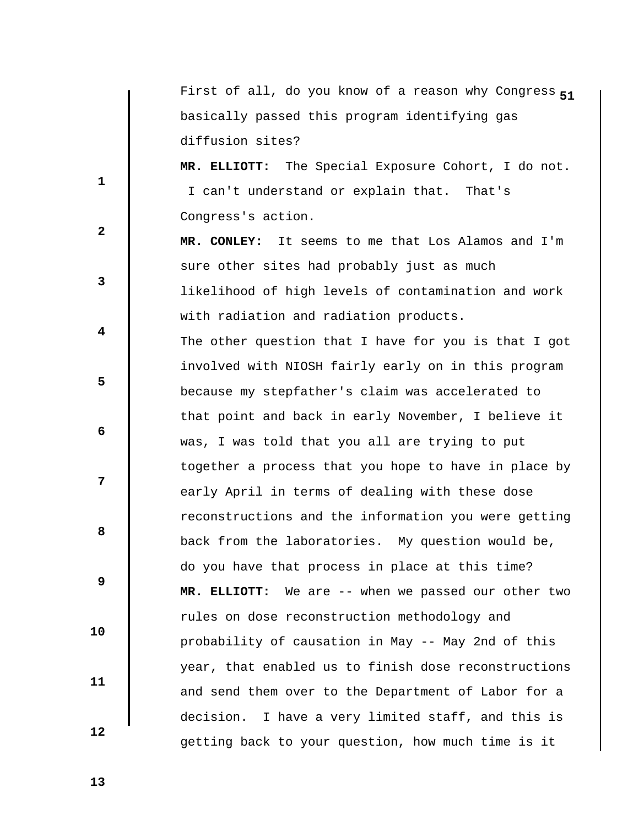First of all, do you know of a reason why Congress 51 basically passed this program identifying gas diffusion sites?

 **MR. ELLIOTT:** The Special Exposure Cohort, I do not. I can't understand or explain that. That's Congress's action.

 **MR. CONLEY:** It seems to me that Los Alamos and I'm sure other sites had probably just as much likelihood of high levels of contamination and work with radiation and radiation products.

 The other question that I have for you is that I got involved with NIOSH fairly early on in this program because my stepfather's claim was accelerated to that point and back in early November, I believe it was, I was told that you all are trying to put together a process that you hope to have in place by early April in terms of dealing with these dose reconstructions and the information you were getting back from the laboratories. My question would be, do you have that process in place at this time?  **MR. ELLIOTT:** We are -- when we passed our other two rules on dose reconstruction methodology and probability of causation in May -- May 2nd of this year, that enabled us to finish dose reconstructions and send them over to the Department of Labor for a decision. I have a very limited staff, and this is getting back to your question, how much time is it

 **13** 

 **10** 

 **11** 

 **12** 

 **1** 

 **3** 

 **5** 

**2** 

 **4** 

 **6** 

**12** 

**8 8**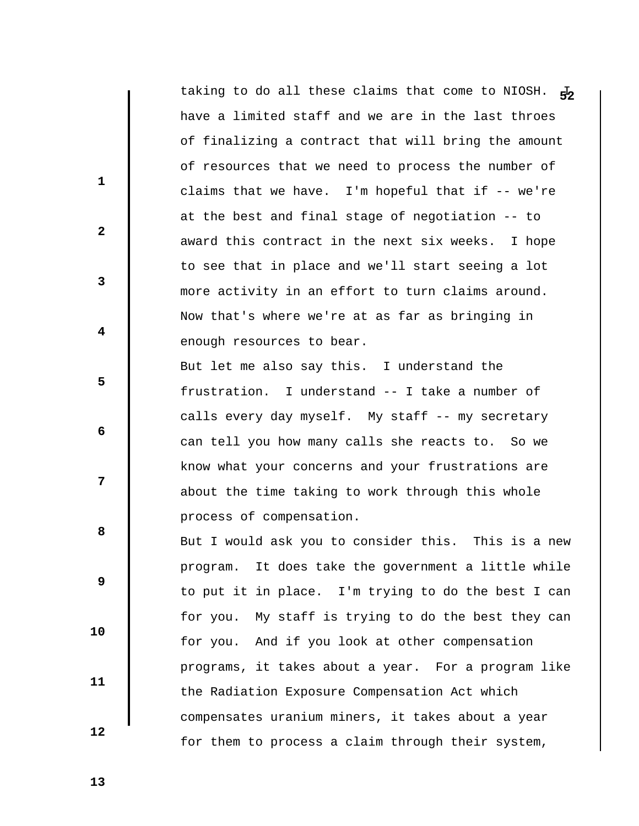taking to do all these claims that come to NIOSH.  $\frac{1}{5}$ have a limited staff and we are in the last throes of finalizing a contract that will bring the amount of resources that we need to process the number of claims that we have. I'm hopeful that if -- we're at the best and final stage of negotiation -- to award this contract in the next six weeks. I hope to see that in place and we'll start seeing a lot more activity in an effort to turn claims around. Now that's where we're at as far as bringing in enough resources to bear. But let me also say this. I understand the frustration. I understand -- I take a number of calls every day myself. My staff -- my secretary can tell you how many calls she reacts to. So we know what your concerns and your frustrations are about the time taking to work through this whole process of compensation. But I would ask you to consider this. This is a new program. It does take the government a little while to put it in place. I'm trying to do the best I can for you. My staff is trying to do the best they can for you. And if you look at other compensation programs, it takes about a year. For a program like

the Radiation Exposure Compensation Act which

compensates uranium miners, it takes about a year

for them to process a claim through their system,

 **11** 

 **10** 

 **1** 

 **3** 

 **5** 

 **7** 

**2** 

 **4** 

 **6** 

**8 8** 

 **9** 

 **12**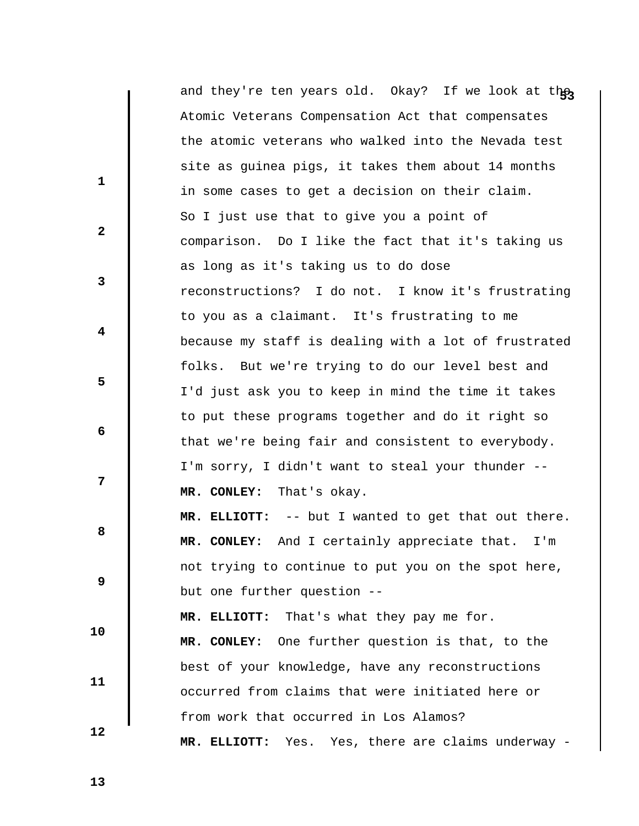|              | and they're ten years old. Okay? If we look at the       |
|--------------|----------------------------------------------------------|
|              | Atomic Veterans Compensation Act that compensates        |
|              | the atomic veterans who walked into the Nevada test      |
|              | site as guinea pigs, it takes them about 14 months       |
| $\mathbf{1}$ | in some cases to get a decision on their claim.          |
|              | So I just use that to give you a point of                |
| $\mathbf{2}$ | comparison. Do I like the fact that it's taking us       |
|              | as long as it's taking us to do dose                     |
| 3            | reconstructions? I do not. I know it's frustrating       |
|              | to you as a claimant. It's frustrating to me             |
| 4            | because my staff is dealing with a lot of frustrated     |
|              | folks. But we're trying to do our level best and         |
| 5            | I'd just ask you to keep in mind the time it takes       |
|              | to put these programs together and do it right so        |
| 6            | that we're being fair and consistent to everybody.       |
|              | I'm sorry, I didn't want to steal your thunder --        |
| 7            | That's okay.<br>MR. CONLEY:                              |
|              | MR. ELLIOTT: -- but I wanted to get that out there.      |
| 8            | MR. CONLEY: And I certainly appreciate that.<br>I'm      |
|              | not trying to continue to put you on the spot here,      |
| 9            | but one further question --                              |
|              | MR. ELLIOTT: That's what they pay me for.                |
| 10           | One further question is that, to the<br>MR. CONLEY:      |
|              | best of your knowledge, have any reconstructions         |
| 11           | occurred from claims that were initiated here or         |
|              | from work that occurred in Los Alamos?                   |
| 12           | Yes, there are claims underway -<br>MR. ELLIOTT:<br>Yes. |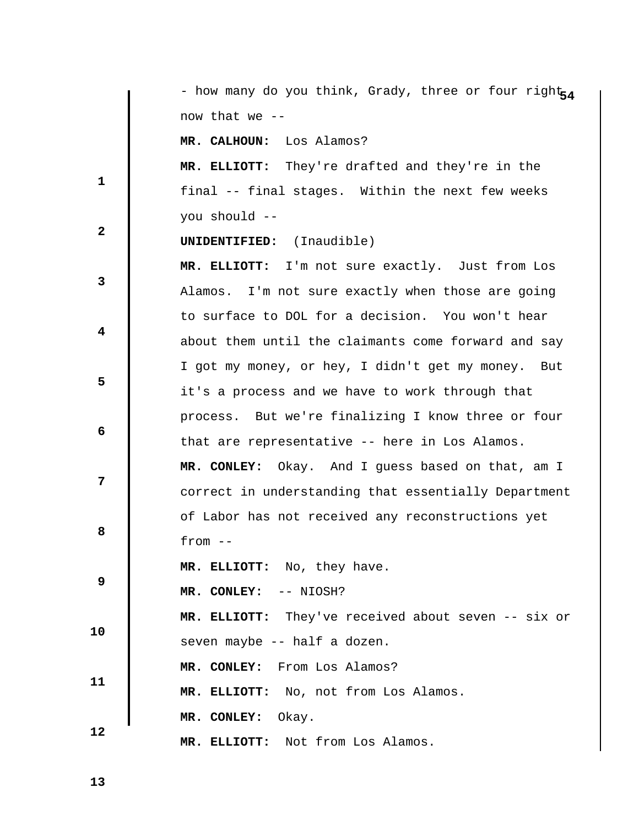**1 2 3 4 5 6 7 8 8 9 10 11 12**  - how many do you think, Grady, three or four right<sub>54</sub> now that we --  **MR. CALHOUN:** Los Alamos?  **MR. ELLIOTT:** They're drafted and they're in the final -- final stages. Within the next few weeks you should --  **UNIDENTIFIED:** (Inaudible)  **MR. ELLIOTT:** I'm not sure exactly. Just from Los Alamos. I'm not sure exactly when those are going to surface to DOL for a decision. You won't hear about them until the claimants come forward and say I got my money, or hey, I didn't get my money. But it's a process and we have to work through that process. But we're finalizing I know three or four that are representative -- here in Los Alamos.  **MR. CONLEY:** Okay. And I guess based on that, am I correct in understanding that essentially Department of Labor has not received any reconstructions yet  $from --$  **MR. ELLIOTT:** No, they have.  **MR. CONLEY:** -- NIOSH?  **MR. ELLIOTT:** They've received about seven -- six or seven maybe -- half a dozen.  **MR. CONLEY:** From Los Alamos?  **MR. ELLIOTT:** No, not from Los Alamos.  **MR. CONLEY:** Okay.  **MR. ELLIOTT:** Not from Los Alamos.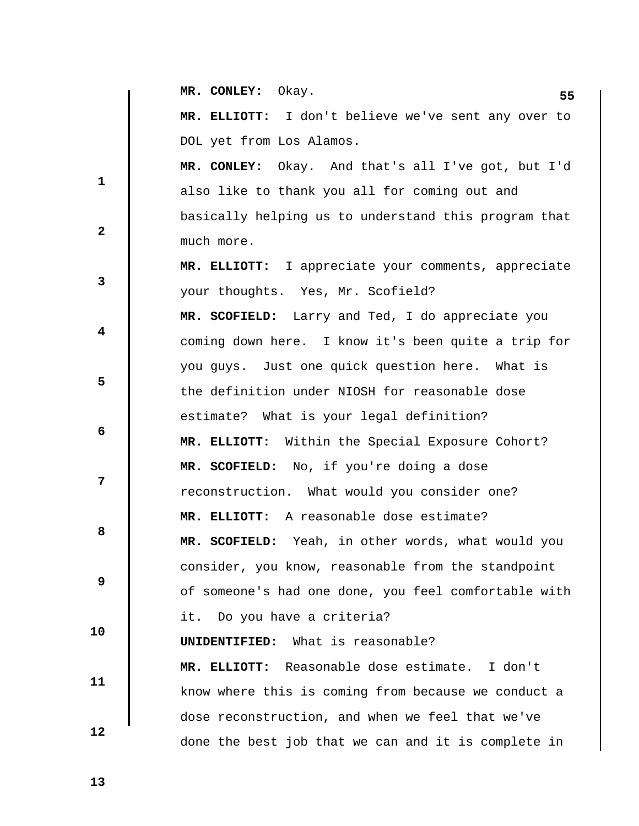|              | MR. CONLEY: Okay.<br>55                              |
|--------------|------------------------------------------------------|
|              | MR. ELLIOTT: I don't believe we've sent any over to  |
|              | DOL yet from Los Alamos.                             |
|              | MR. CONLEY: Okay. And that's all I've got, but I'd   |
| $\mathbf{1}$ | also like to thank you all for coming out and        |
|              | basically helping us to understand this program that |
| $\mathbf{2}$ | much more.                                           |
|              | MR. ELLIOTT: I appreciate your comments, appreciate  |
| $\mathbf{3}$ | your thoughts. Yes, Mr. Scofield?                    |
|              | MR. SCOFIELD: Larry and Ted, I do appreciate you     |
| 4            | coming down here. I know it's been quite a trip for  |
|              | you guys. Just one quick question here. What is      |
| 5            | the definition under NIOSH for reasonable dose       |
|              | estimate? What is your legal definition?             |
| 6            | Within the Special Exposure Cohort?<br>MR. ELLIOTT:  |
|              | MR. SCOFIELD: No, if you're doing a dose             |
| 7            | reconstruction. What would you consider one?         |
|              | MR. ELLIOTT: A reasonable dose estimate?             |
| 8            | MR. SCOFIELD: Yeah, in other words, what would you   |
|              | consider, you know, reasonable from the standpoint   |
| 9            | of someone's had one done, you feel comfortable with |
|              | Do you have a criteria?<br>it.                       |
| 10           | What is reasonable?<br>UNIDENTIFIED:                 |
|              | MR. ELLIOTT: Reasonable dose estimate. I don't       |
| 11           | know where this is coming from because we conduct a  |
|              | dose reconstruction, and when we feel that we've     |
| 12           | done the best job that we can and it is complete in  |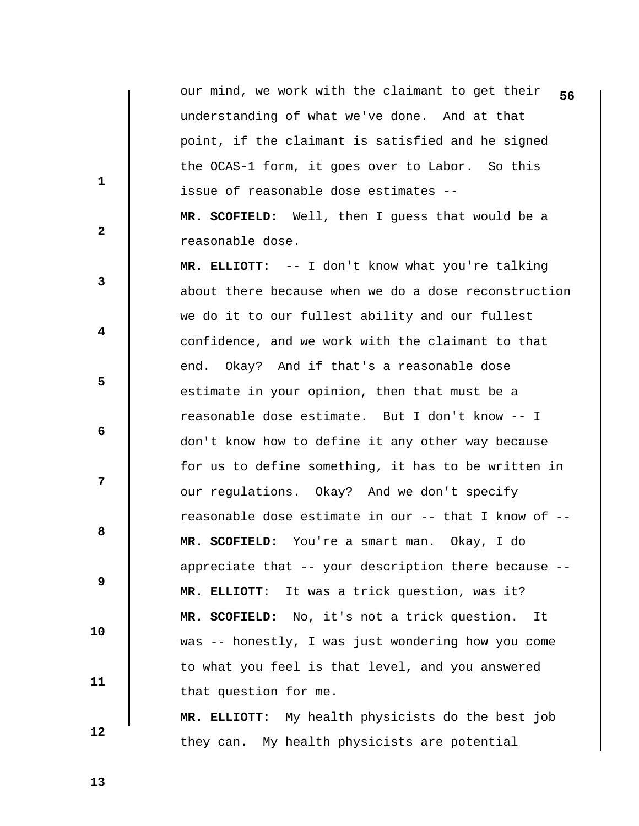our mind, we work with the claimant to get their 56 understanding of what we've done. And at that point, if the claimant is satisfied and he signed the OCAS-1 form, it goes over to Labor. So this issue of reasonable dose estimates --  **MR. SCOFIELD:** Well, then I guess that would be a reasonable dose.

 **MR. ELLIOTT:** -- I don't know what you're talking about there because when we do a dose reconstruction we do it to our fullest ability and our fullest confidence, and we work with the claimant to that end. Okay? And if that's a reasonable dose estimate in your opinion, then that must be a reasonable dose estimate. But I don't know -- I don't know how to define it any other way because for us to define something, it has to be written in our regulations. Okay? And we don't specify reasonable dose estimate in our -- that I know of --  **MR. SCOFIELD:** You're a smart man. Okay, I do appreciate that -- your description there because --  **MR. ELLIOTT:** It was a trick question, was it?  **MR. SCOFIELD:** No, it's not a trick question. It was -- honestly, I was just wondering how you come to what you feel is that level, and you answered that question for me.

 **MR. ELLIOTT:** My health physicists do the best job they can. My health physicists are potential

 **13** 

 **10** 

 **11** 

 **12** 

 **1** 

**2** 

**3** 

 **4** 

 **6** 

**8 8** 

 **9** 

 **5**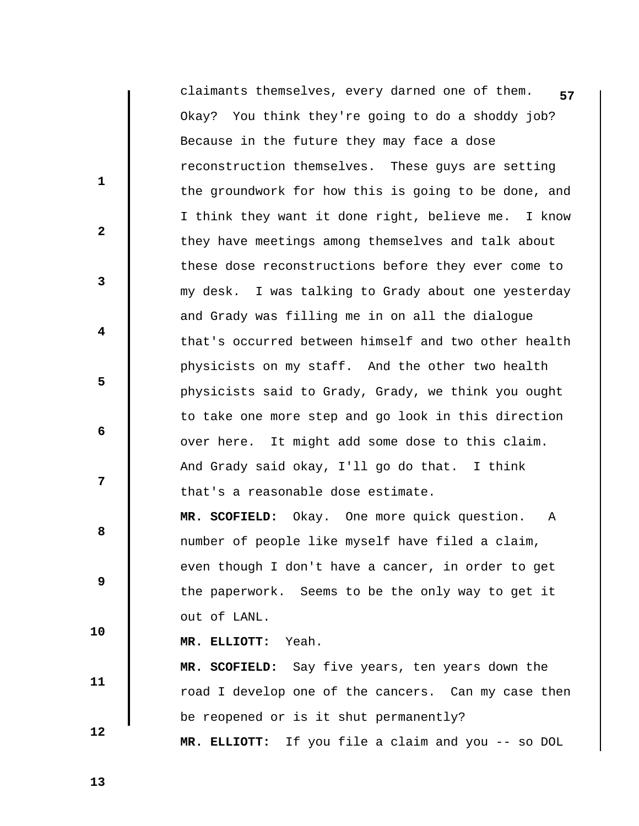| claimants themselves, every darned one of them.<br>57 |
|-------------------------------------------------------|
| Okay? You think they're going to do a shoddy job?     |
| Because in the future they may face a dose            |
| reconstruction themselves. These guys are setting     |
| the groundwork for how this is going to be done, and  |
| I think they want it done right, believe me. I know   |
| they have meetings among themselves and talk about    |
| these dose reconstructions before they ever come to   |
| my desk. I was talking to Grady about one yesterday   |
| and Grady was filling me in on all the dialogue       |
| that's occurred between himself and two other health  |
| physicists on my staff. And the other two health      |
| physicists said to Grady, Grady, we think you ought   |
| to take one more step and go look in this direction   |
| over here. It might add some dose to this claim.      |
| And Grady said okay, I'll go do that. I think         |
| that's a reasonable dose estimate.                    |
| MR. SCOFIELD: Okay. One more quick question.<br>Α     |
| number of people like myself have filed a claim,      |
| even though I don't have a cancer, in order to get    |
| the paperwork. Seems to be the only way to get it     |
| out of LANL.                                          |
| MR. ELLIOTT: Yeah.                                    |
| MR. SCOFIELD: Say five years, ten years down the      |
| road I develop one of the cancers. Can my case then   |

 **1** 

 **2** 

 **3** 

 **4** 

 **5** 

 **6** 

 **7** 

 **8** 

 **9** 

 **10** 

 **11** 

 **MR. ELLIOTT:** If you file a claim and you -- so DOL

be reopened or is it shut permanently?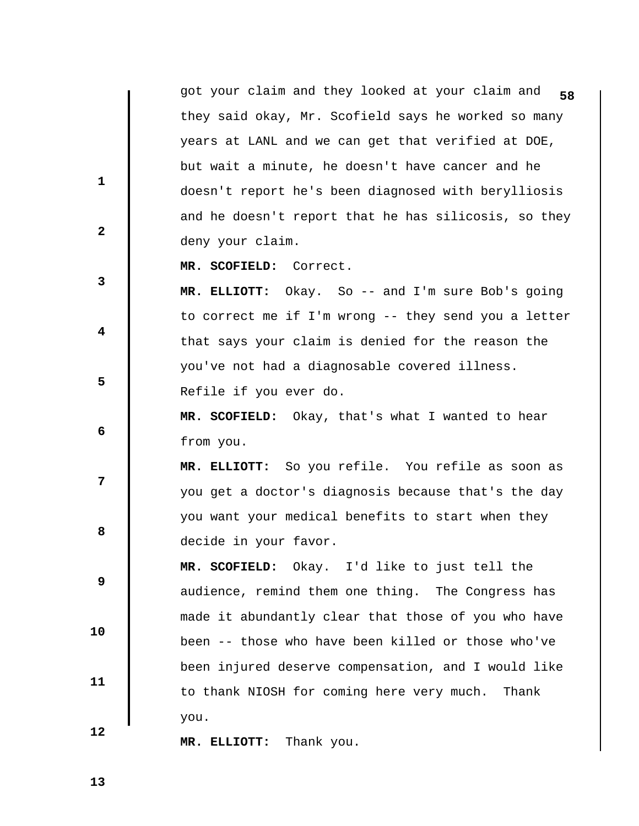**58** got your claim and they looked at your claim and they said okay, Mr. Scofield says he worked so many years at LANL and we can get that verified at DOE, but wait a minute, he doesn't have cancer and he doesn't report he's been diagnosed with berylliosis and he doesn't report that he has silicosis, so they deny your claim.

 **MR. SCOFIELD:** Correct.

 **MR. ELLIOTT:** Okay. So -- and I'm sure Bob's going to correct me if I'm wrong -- they send you a letter that says your claim is denied for the reason the you've not had a diagnosable covered illness. Refile if you ever do.

 **MR. SCOFIELD:** Okay, that's what I wanted to hear from you.

 **MR. ELLIOTT:** So you refile. You refile as soon as you get a doctor's diagnosis because that's the day you want your medical benefits to start when they decide in your favor.

 **MR. SCOFIELD:** Okay. I'd like to just tell the audience, remind them one thing. The Congress has made it abundantly clear that those of you who have been -- those who have been killed or those who've been injured deserve compensation, and I would like to thank NIOSH for coming here very much. Thank you.

 **MR. ELLIOTT:** Thank you.

 **13** 

 **10** 

 **11** 

 **12** 

 **1** 

**2** 

**3** 

 **4** 

 **6** 

**12** 

**8 8** 

 **9**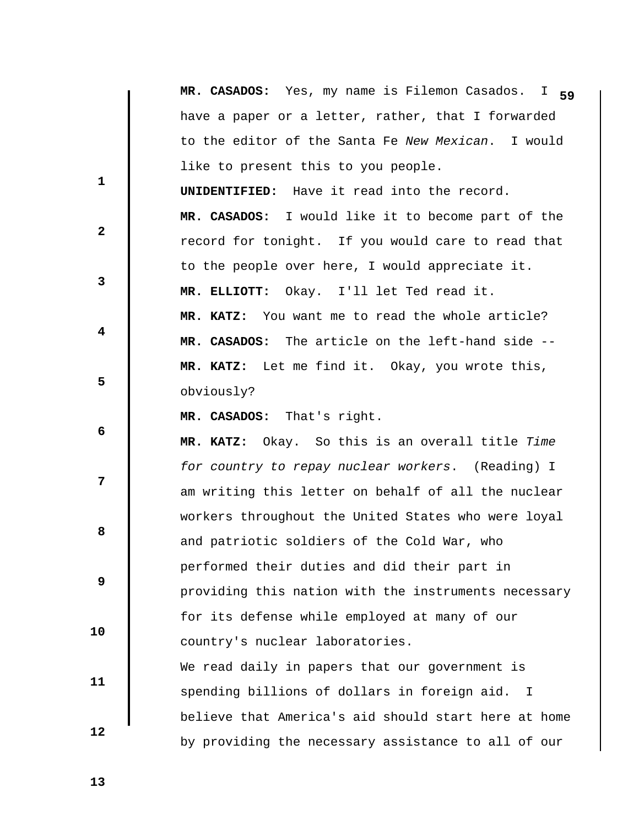|              | MR. CASADOS: Yes, my name is Filemon Casados.<br>$I$ 59 |
|--------------|---------------------------------------------------------|
|              | have a paper or a letter, rather, that I forwarded      |
|              | to the editor of the Santa Fe New Mexican. I would      |
|              | like to present this to you people.                     |
| $\mathbf 1$  | <b>UNIDENTIFIED:</b> Have it read into the record.      |
|              | MR. CASADOS: I would like it to become part of the      |
| $\mathbf{2}$ | record for tonight. If you would care to read that      |
|              | to the people over here, I would appreciate it.         |
| 3            | MR. ELLIOTT: Okay. I'll let Ted read it.                |
|              | You want me to read the whole article?<br>MR. KATZ:     |
| 4            | MR. CASADOS: The article on the left-hand side --       |
|              | MR. KATZ: Let me find it. Okay, you wrote this,         |
| 5            | obviously?                                              |
|              | MR. CASADOS: That's right.                              |
| 6            | Okay. So this is an overall title Time<br>MR. KATZ:     |
|              | for country to repay nuclear workers. (Reading) I       |
| 7            | am writing this letter on behalf of all the nuclear     |
|              | workers throughout the United States who were loyal     |
| 8            | and patriotic soldiers of the Cold War, who             |
|              | performed their duties and did their part in            |
| 9            | providing this nation with the instruments necessary    |
|              | for its defense while employed at many of our           |
| 10           | country's nuclear laboratories.                         |
|              | We read daily in papers that our government is          |
| 11           | spending billions of dollars in foreign aid. I          |
|              | believe that America's aid should start here at home    |
| 12           | by providing the necessary assistance to all of our     |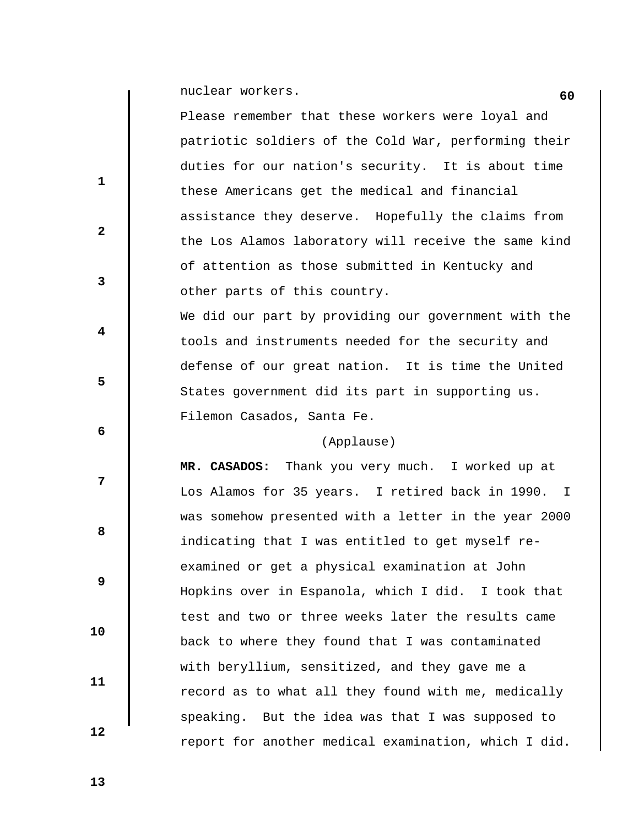**60** nuclear workers.

 $\parallel$ 

|              | Please remember that these workers were loyal and    |
|--------------|------------------------------------------------------|
|              | patriotic soldiers of the Cold War, performing their |
|              | duties for our nation's security. It is about time   |
| $\mathbf{1}$ | these Americans get the medical and financial        |
|              | assistance they deserve. Hopefully the claims from   |
| $\mathbf{2}$ | the Los Alamos laboratory will receive the same kind |
|              | of attention as those submitted in Kentucky and      |
| 3            | other parts of this country.                         |
|              | We did our part by providing our government with the |
| 4            | tools and instruments needed for the security and    |
|              | defense of our great nation. It is time the United   |
| 5            | States government did its part in supporting us.     |
|              | Filemon Casados, Santa Fe.                           |
|              |                                                      |
| 6            | (Applause)                                           |
|              | MR. CASADOS: Thank you very much. I worked up at     |
| 7            | Los Alamos for 35 years. I retired back in 1990. I   |
|              | was somehow presented with a letter in the year 2000 |
| 8            | indicating that I was entitled to get myself re-     |
|              | examined or get a physical examination at John       |
| 9            | Hopkins over in Espanola, which I did. I took that   |
|              | test and two or three weeks later the results came   |
| 10           | back to where they found that I was contaminated     |
|              | with beryllium, sensitized, and they gave me a       |
| 11           | record as to what all they found with me, medically  |
| 12           | speaking. But the idea was that I was supposed to    |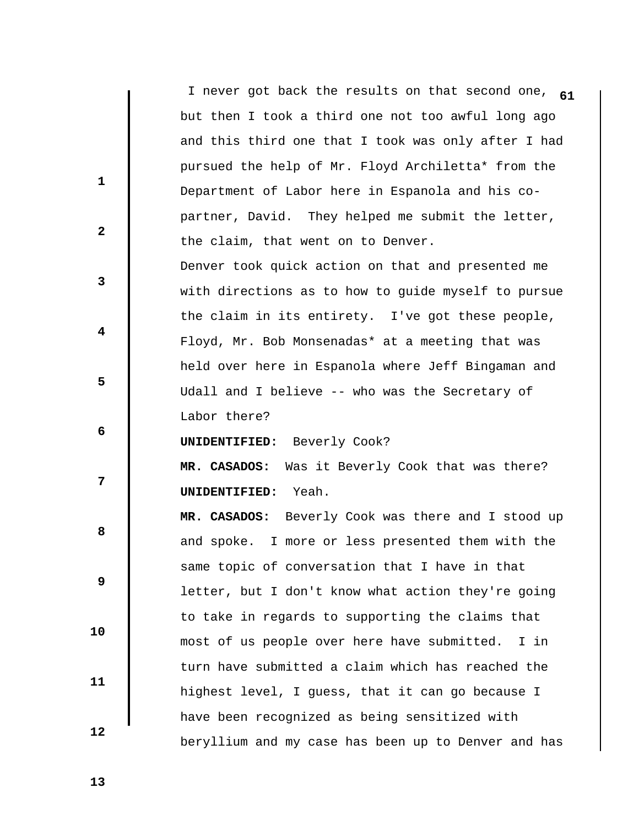|              | I never got back the results on that second one, 61 |
|--------------|-----------------------------------------------------|
|              | but then I took a third one not too awful long ago  |
|              | and this third one that I took was only after I had |
|              | pursued the help of Mr. Floyd Archiletta* from the  |
| $\mathbf{1}$ | Department of Labor here in Espanola and his co-    |
|              | partner, David. They helped me submit the letter,   |
| $\mathbf{2}$ | the claim, that went on to Denver.                  |
|              | Denver took quick action on that and presented me   |
| 3            | with directions as to how to guide myself to pursue |
|              | the claim in its entirety. I've got these people,   |
| 4            | Floyd, Mr. Bob Monsenadas* at a meeting that was    |
|              | held over here in Espanola where Jeff Bingaman and  |
| 5            | Udall and I believe -- who was the Secretary of     |
|              | Labor there?                                        |
| 6            | UNIDENTIFIED: Beverly Cook?                         |
|              | Was it Beverly Cook that was there?<br>MR. CASADOS: |
| 7            | Yeah.<br>UNIDENTIFIED:                              |
|              | MR. CASADOS: Beverly Cook was there and I stood up  |
| 8            | and spoke. I more or less presented them with the   |
|              | same topic of conversation that I have in that      |
| 9            | letter, but I don't know what action they're going  |
|              | to take in regards to supporting the claims that    |
| 10           | most of us people over here have submitted.<br>I in |
|              | turn have submitted a claim which has reached the   |
| 11           | highest level, I guess, that it can go because I    |
|              | have been recognized as being sensitized with       |
| 12           | beryllium and my case has been up to Denver and has |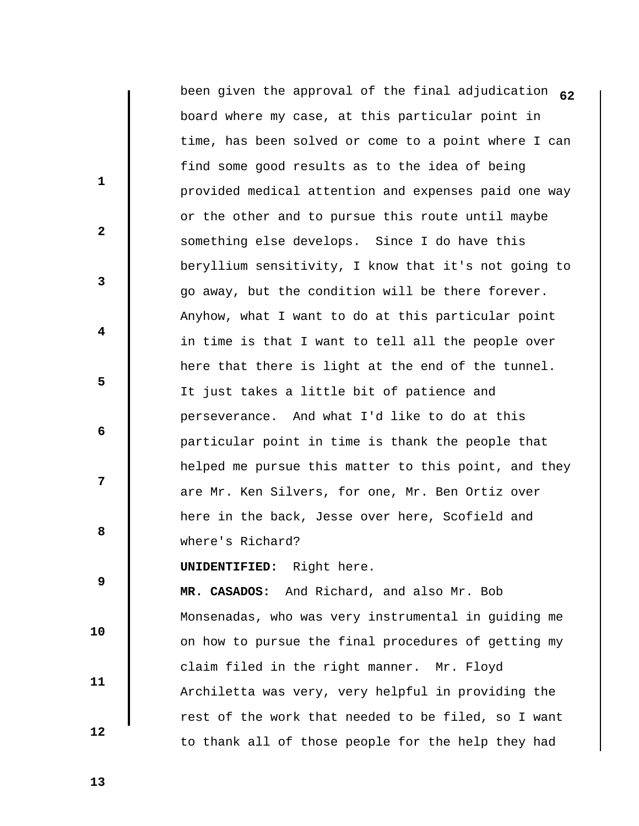|              | been given the approval of the final adjudication 62 |
|--------------|------------------------------------------------------|
|              | board where my case, at this particular point in     |
|              | time, has been solved or come to a point where I can |
|              | find some good results as to the idea of being       |
| 1            | provided medical attention and expenses paid one way |
|              | or the other and to pursue this route until maybe    |
| $\mathbf{2}$ | something else develops. Since I do have this        |
|              | beryllium sensitivity, I know that it's not going to |
| 3            | go away, but the condition will be there forever.    |
|              | Anyhow, what I want to do at this particular point   |
| 4            | in time is that I want to tell all the people over   |
|              | here that there is light at the end of the tunnel.   |
| 5            | It just takes a little bit of patience and           |
|              | perseverance. And what I'd like to do at this        |
| 6            | particular point in time is thank the people that    |
|              | helped me pursue this matter to this point, and they |
| 7            | are Mr. Ken Silvers, for one, Mr. Ben Ortiz over     |
|              | here in the back, Jesse over here, Scofield and      |
| 8            | where's Richard?                                     |
|              | <b>UNIDENTIFIED:</b> Right here.                     |
| 9            | MR. CASADOS: And Richard, and also Mr. Bob           |
| 10           | Monsenadas, who was very instrumental in guiding me  |
|              | on how to pursue the final procedures of getting my  |
|              | claim filed in the right manner. Mr. Floyd           |
| 11           | Archiletta was very, very helpful in providing the   |
|              | rest of the work that needed to be filed, so I want  |
| 12           | to thank all of those people for the help they had   |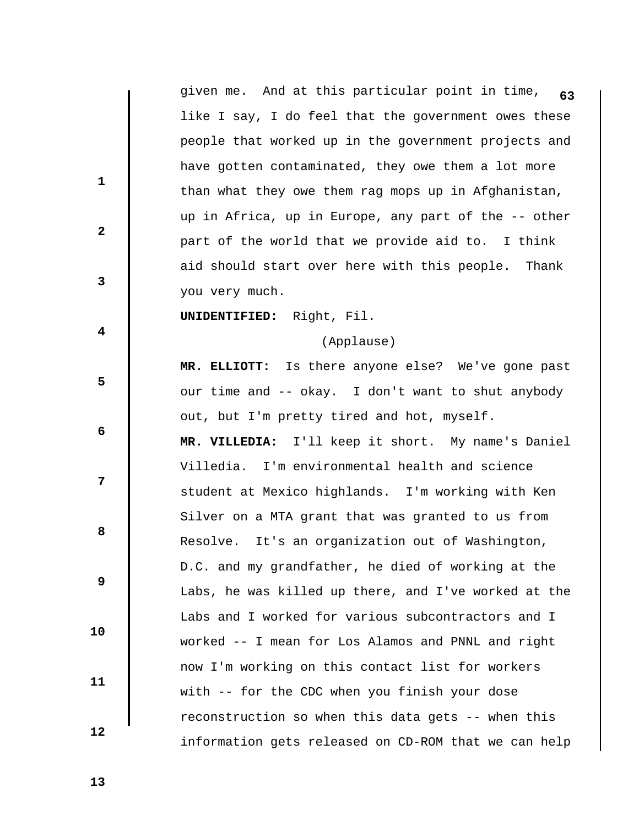|                         | given me. And at this particular point in time,<br>63 |
|-------------------------|-------------------------------------------------------|
|                         | like I say, I do feel that the government owes these  |
|                         | people that worked up in the government projects and  |
|                         | have gotten contaminated, they owe them a lot more    |
| $\mathbf{1}$            | than what they owe them rag mops up in Afghanistan,   |
|                         | up in Africa, up in Europe, any part of the -- other  |
| $\mathbf{2}$            | part of the world that we provide aid to. I think     |
|                         | aid should start over here with this people. Thank    |
| $\mathbf{3}$            | you very much.                                        |
|                         | UNIDENTIFIED: Right, Fil.                             |
| $\overline{\mathbf{4}}$ | (Applause)                                            |
|                         | MR. ELLIOTT: Is there anyone else? We've gone past    |
| 5                       | our time and -- okay. I don't want to shut anybody    |
|                         | out, but I'm pretty tired and hot, myself.            |
| 6                       | MR. VILLEDIA: I'll keep it short. My name's Daniel    |
|                         | Villedia. I'm environmental health and science        |
| 7                       | student at Mexico highlands. I'm working with Ken     |
|                         | Silver on a MTA grant that was granted to us from     |
| 8                       | It's an organization out of Washington,<br>Resolve.   |
|                         | D.C. and my grandfather, he died of working at the    |
| 9                       | Labs, he was killed up there, and I've worked at the  |
|                         | Labs and I worked for various subcontractors and I    |
| 10                      | worked -- I mean for Los Alamos and PNNL and right    |
|                         | now I'm working on this contact list for workers      |
| 11                      | with -- for the CDC when you finish your dose         |
|                         | reconstruction so when this data gets -- when this    |
| 12                      | information gets released on CD-ROM that we can help  |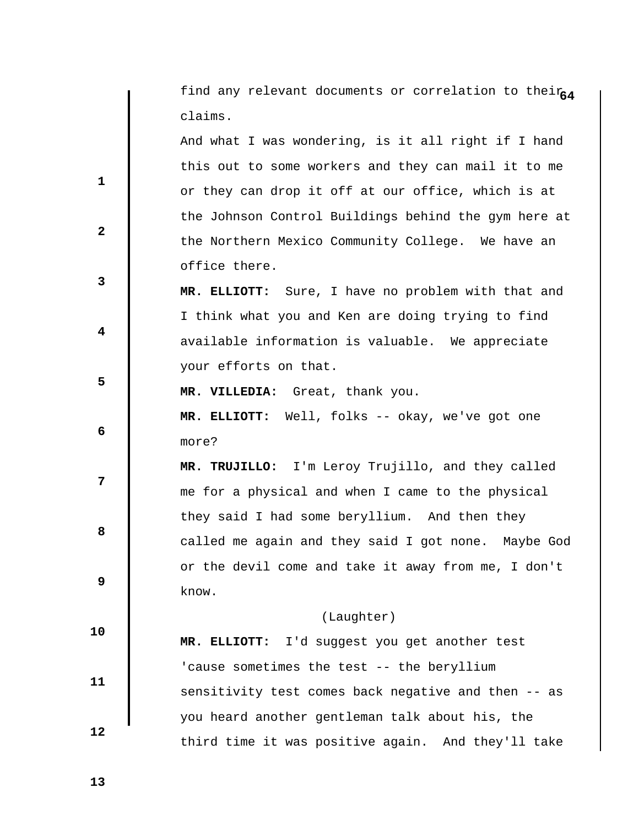|              | find any relevant documents or correlation to their64 |  |  |  |  |  |  |  |  |  |
|--------------|-------------------------------------------------------|--|--|--|--|--|--|--|--|--|
|              | claims.                                               |  |  |  |  |  |  |  |  |  |
|              | And what I was wondering, is it all right if I hand   |  |  |  |  |  |  |  |  |  |
|              | this out to some workers and they can mail it to me   |  |  |  |  |  |  |  |  |  |
| 1            | or they can drop it off at our office, which is at    |  |  |  |  |  |  |  |  |  |
|              | the Johnson Control Buildings behind the gym here at  |  |  |  |  |  |  |  |  |  |
| $\mathbf{2}$ | the Northern Mexico Community College. We have an     |  |  |  |  |  |  |  |  |  |
|              | office there.                                         |  |  |  |  |  |  |  |  |  |
| 3            | MR. ELLIOTT: Sure, I have no problem with that and    |  |  |  |  |  |  |  |  |  |
|              | I think what you and Ken are doing trying to find     |  |  |  |  |  |  |  |  |  |
| 4            | available information is valuable. We appreciate      |  |  |  |  |  |  |  |  |  |
|              | your efforts on that.                                 |  |  |  |  |  |  |  |  |  |
| 5            | MR. VILLEDIA: Great, thank you.                       |  |  |  |  |  |  |  |  |  |
|              | MR. ELLIOTT: Well, folks -- okay, we've got one       |  |  |  |  |  |  |  |  |  |
| 6            | more?                                                 |  |  |  |  |  |  |  |  |  |
|              | MR. TRUJILLO: I'm Leroy Trujillo, and they called     |  |  |  |  |  |  |  |  |  |
| 7            | me for a physical and when I came to the physical     |  |  |  |  |  |  |  |  |  |
|              | they said I had some beryllium. And then they         |  |  |  |  |  |  |  |  |  |
| 8            | called me again and they said I got none. Maybe God   |  |  |  |  |  |  |  |  |  |
|              | or the devil come and take it away from me, I don't   |  |  |  |  |  |  |  |  |  |
| 9            | know.                                                 |  |  |  |  |  |  |  |  |  |
|              | (Laughter)                                            |  |  |  |  |  |  |  |  |  |
| 10           | MR. ELLIOTT: I'd suggest you get another test         |  |  |  |  |  |  |  |  |  |
|              | 'cause sometimes the test -- the beryllium            |  |  |  |  |  |  |  |  |  |
| 11           | sensitivity test comes back negative and then -- as   |  |  |  |  |  |  |  |  |  |
|              | you heard another gentleman talk about his, the       |  |  |  |  |  |  |  |  |  |
| 12           | third time it was positive again. And they'll take    |  |  |  |  |  |  |  |  |  |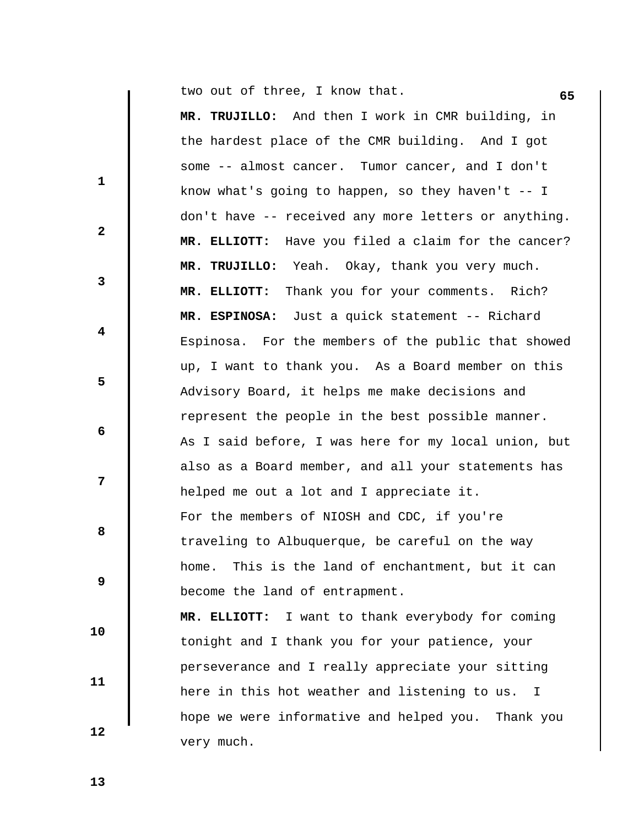**65** two out of three, I know that.

 **MR. TRUJILLO:** And then I work in CMR building, in the hardest place of the CMR building. And I got some -- almost cancer. Tumor cancer, and I don't know what's going to happen, so they haven't -- I don't have -- received any more letters or anything.  **MR. ELLIOTT:** Have you filed a claim for the cancer?  **MR. TRUJILLO:** Yeah. Okay, thank you very much.  **MR. ELLIOTT:** Thank you for your comments. Rich?  **MR. ESPINOSA:** Just a quick statement -- Richard Espinosa. For the members of the public that showed up, I want to thank you. As a Board member on this Advisory Board, it helps me make decisions and represent the people in the best possible manner. As I said before, I was here for my local union, but also as a Board member, and all your statements has helped me out a lot and I appreciate it. For the members of NIOSH and CDC, if you're traveling to Albuquerque, be careful on the way home. This is the land of enchantment, but it can become the land of entrapment.  **MR. ELLIOTT:** I want to thank everybody for coming tonight and I thank you for your patience, your perseverance and I really appreciate your sitting here in this hot weather and listening to us. I

hope we were informative and helped you. Thank you

 **12** 

very much.

 **10** 

 **11** 

 **1** 

**2** 

**3** 

 **4** 

 **6** 

**8 8** 

 **9** 

 **5** 

 **7**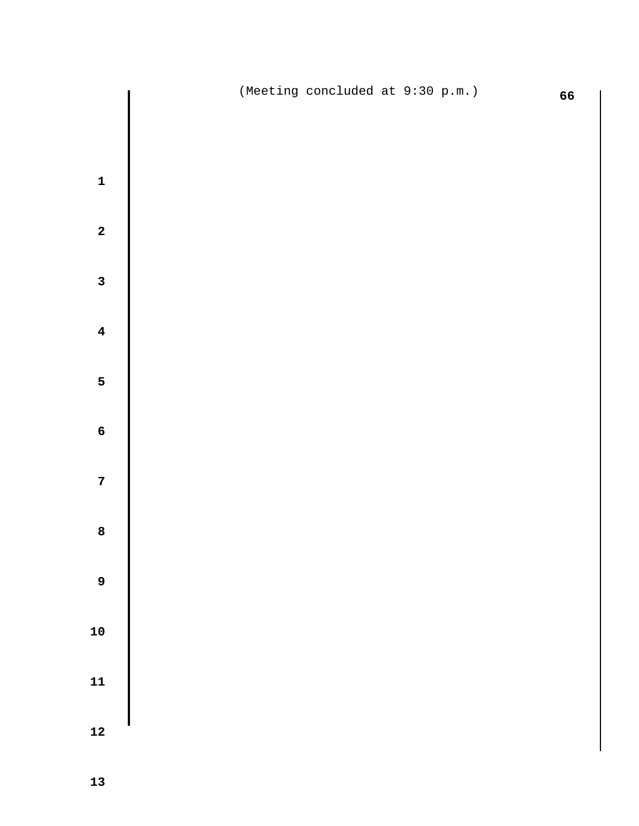